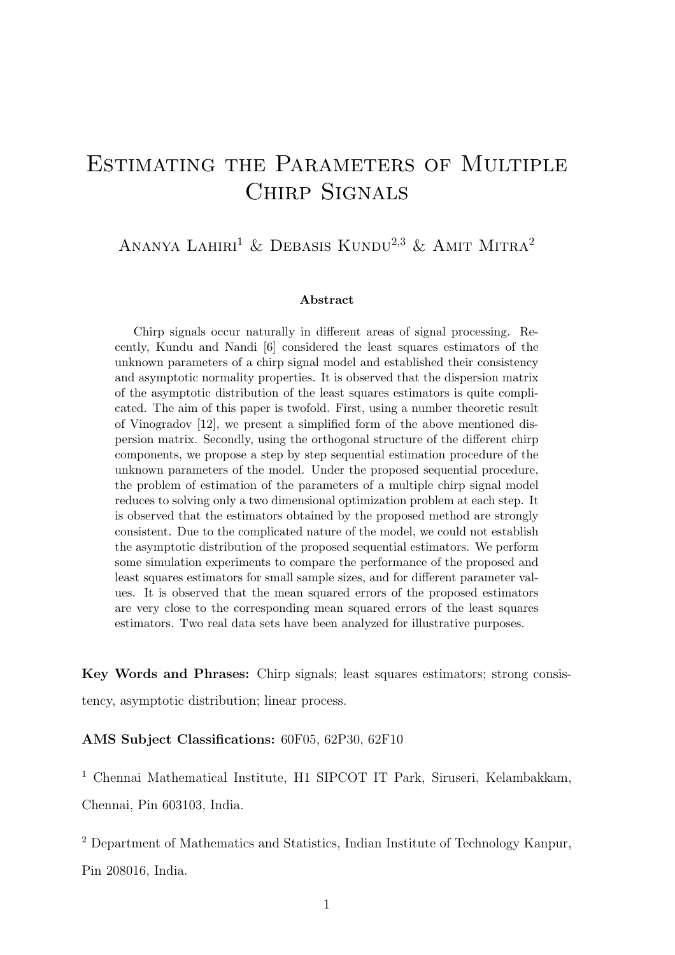# ESTIMATING THE PARAMETERS OF MULTIPLE Chirp Signals

## ANANYA LAHIRI<sup>1</sup> & DEBASIS KUNDU<sup>2,3</sup> & AMIT MITRA<sup>2</sup>

#### Abstract

Chirp signals occur naturally in different areas of signal processing. Recently, Kundu and Nandi [6] considered the least squares estimators of the unknown parameters of a chirp signal model and established their consistency and asymptotic normality properties. It is observed that the dispersion matrix of the asymptotic distribution of the least squares estimators is quite complicated. The aim of this paper is twofold. First, using a number theoretic result of Vinogradov [12], we present a simplified form of the above mentioned dispersion matrix. Secondly, using the orthogonal structure of the different chirp components, we propose a step by step sequential estimation procedure of the unknown parameters of the model. Under the proposed sequential procedure, the problem of estimation of the parameters of a multiple chirp signal model reduces to solving only a two dimensional optimization problem at each step. It is observed that the estimators obtained by the proposed method are strongly consistent. Due to the complicated nature of the model, we could not establish the asymptotic distribution of the proposed sequential estimators. We perform some simulation experiments to compare the performance of the proposed and least squares estimators for small sample sizes, and for different parameter values. It is observed that the mean squared errors of the proposed estimators are very close to the corresponding mean squared errors of the least squares estimators. Two real data sets have been analyzed for illustrative purposes.

Key Words and Phrases: Chirp signals; least squares estimators; strong consistency, asymptotic distribution; linear process.

AMS Subject Classifications: 60F05, 62P30, 62F10

<sup>1</sup> Chennai Mathematical Institute, H1 SIPCOT IT Park, Siruseri, Kelambakkam, Chennai, Pin 603103, India.

<sup>2</sup> Department of Mathematics and Statistics, Indian Institute of Technology Kanpur, Pin 208016, India.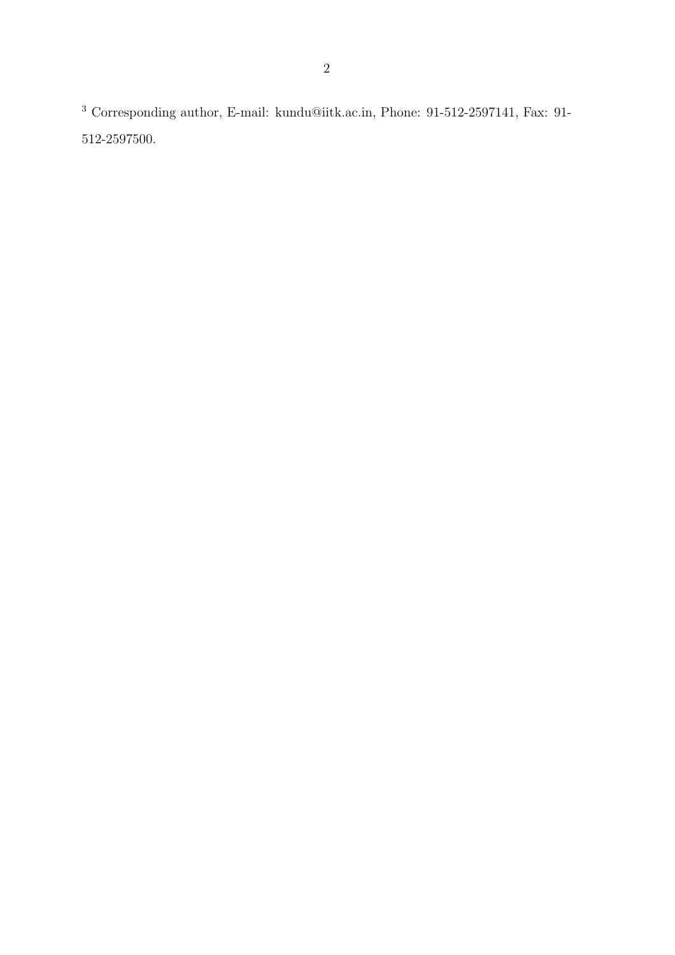$^3$  Corresponding author, E-mail: kundu@iitk.ac.in, Phone: 91-512-2597141, Fax: 91-512-2597500.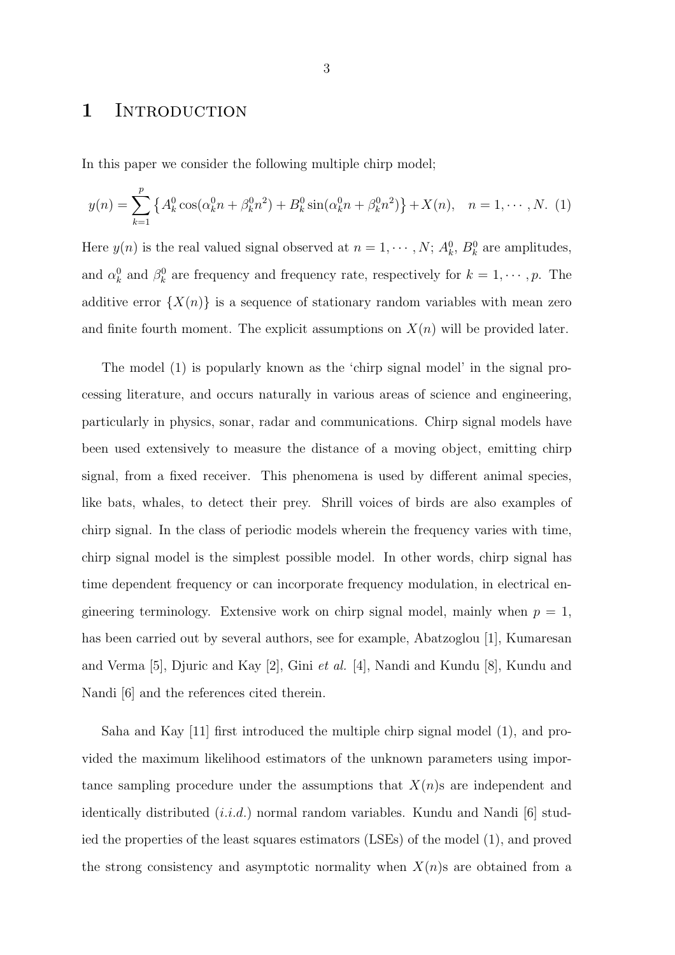### 1 INTRODUCTION

In this paper we consider the following multiple chirp model;

$$
y(n) = \sum_{k=1}^{p} \left\{ A_k^0 \cos(\alpha_k^0 n + \beta_k^0 n^2) + B_k^0 \sin(\alpha_k^0 n + \beta_k^0 n^2) \right\} + X(n), \quad n = 1, \cdots, N.
$$
 (1)

Here  $y(n)$  is the real valued signal observed at  $n = 1, \dots, N$ ;  $A_k^0$ ,  $B_k^0$  are amplitudes, and  $\alpha_k^0$  and  $\beta_k^0$  are frequency and frequency rate, respectively for  $k = 1, \dots, p$ . The additive error  $\{X(n)\}\$ is a sequence of stationary random variables with mean zero and finite fourth moment. The explicit assumptions on  $X(n)$  will be provided later.

The model (1) is popularly known as the 'chirp signal model' in the signal processing literature, and occurs naturally in various areas of science and engineering, particularly in physics, sonar, radar and communications. Chirp signal models have been used extensively to measure the distance of a moving object, emitting chirp signal, from a fixed receiver. This phenomena is used by different animal species, like bats, whales, to detect their prey. Shrill voices of birds are also examples of chirp signal. In the class of periodic models wherein the frequency varies with time, chirp signal model is the simplest possible model. In other words, chirp signal has time dependent frequency or can incorporate frequency modulation, in electrical engineering terminology. Extensive work on chirp signal model, mainly when  $p = 1$ , has been carried out by several authors, see for example, Abatzoglou [1], Kumaresan and Verma [5], Djuric and Kay [2], Gini et al. [4], Nandi and Kundu [8], Kundu and Nandi [6] and the references cited therein.

Saha and Kay [11] first introduced the multiple chirp signal model (1), and provided the maximum likelihood estimators of the unknown parameters using importance sampling procedure under the assumptions that  $X(n)$ s are independent and identically distributed  $(i.i.d.)$  normal random variables. Kundu and Nandi [6] studied the properties of the least squares estimators (LSEs) of the model (1), and proved the strong consistency and asymptotic normality when  $X(n)$ s are obtained from a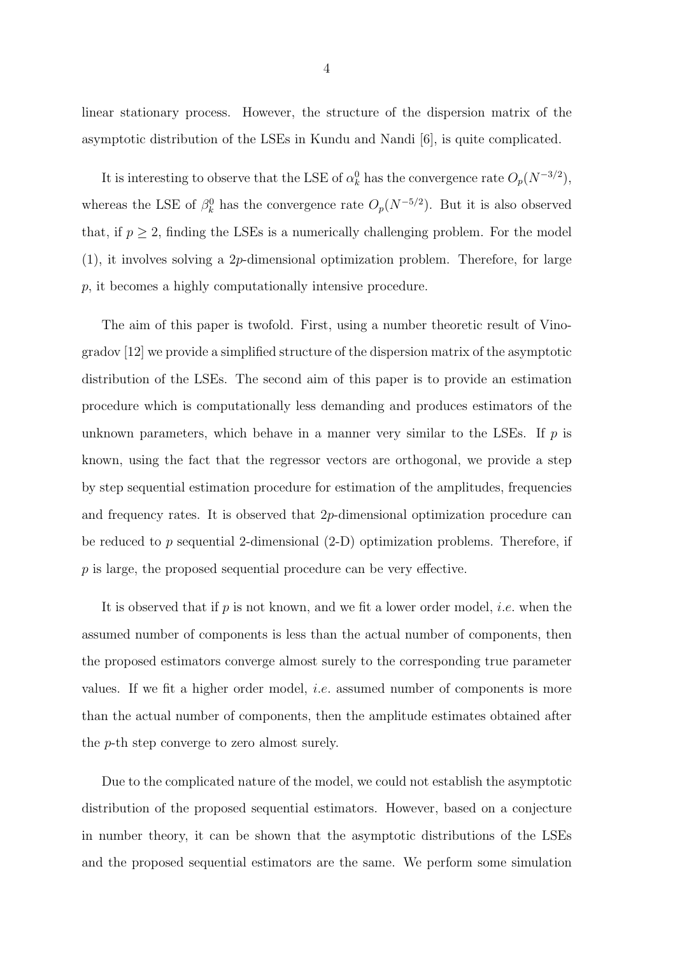linear stationary process. However, the structure of the dispersion matrix of the asymptotic distribution of the LSEs in Kundu and Nandi [6], is quite complicated.

It is interesting to observe that the LSE of  $\alpha_k^0$  has the convergence rate  $O_p(N^{-3/2})$ , whereas the LSE of  $\beta_k^0$  has the convergence rate  $O_p(N^{-5/2})$ . But it is also observed that, if  $p \geq 2$ , finding the LSEs is a numerically challenging problem. For the model (1), it involves solving a 2p-dimensional optimization problem. Therefore, for large p, it becomes a highly computationally intensive procedure.

The aim of this paper is twofold. First, using a number theoretic result of Vinogradov [12] we provide a simplified structure of the dispersion matrix of the asymptotic distribution of the LSEs. The second aim of this paper is to provide an estimation procedure which is computationally less demanding and produces estimators of the unknown parameters, which behave in a manner very similar to the LSEs. If  $p$  is known, using the fact that the regressor vectors are orthogonal, we provide a step by step sequential estimation procedure for estimation of the amplitudes, frequencies and frequency rates. It is observed that 2p-dimensional optimization procedure can be reduced to  $p$  sequential 2-dimensional  $(2-D)$  optimization problems. Therefore, if p is large, the proposed sequential procedure can be very effective.

It is observed that if p is not known, and we fit a lower order model, i.e. when the assumed number of components is less than the actual number of components, then the proposed estimators converge almost surely to the corresponding true parameter values. If we fit a higher order model, i.e. assumed number of components is more than the actual number of components, then the amplitude estimates obtained after the p-th step converge to zero almost surely.

Due to the complicated nature of the model, we could not establish the asymptotic distribution of the proposed sequential estimators. However, based on a conjecture in number theory, it can be shown that the asymptotic distributions of the LSEs and the proposed sequential estimators are the same. We perform some simulation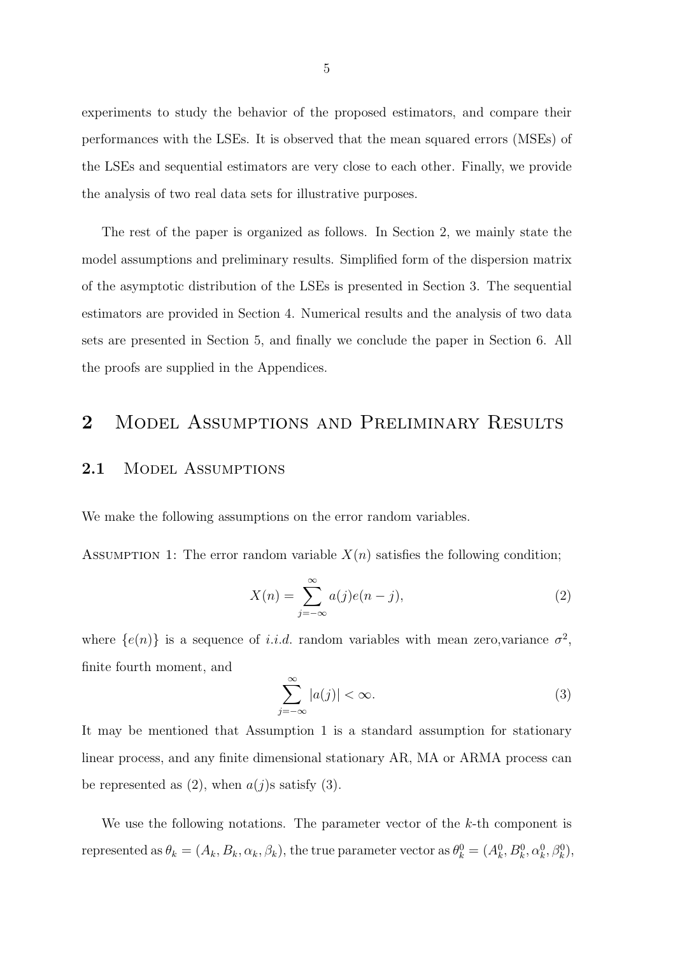experiments to study the behavior of the proposed estimators, and compare their performances with the LSEs. It is observed that the mean squared errors (MSEs) of the LSEs and sequential estimators are very close to each other. Finally, we provide the analysis of two real data sets for illustrative purposes.

The rest of the paper is organized as follows. In Section 2, we mainly state the model assumptions and preliminary results. Simplified form of the dispersion matrix of the asymptotic distribution of the LSEs is presented in Section 3. The sequential estimators are provided in Section 4. Numerical results and the analysis of two data sets are presented in Section 5, and finally we conclude the paper in Section 6. All the proofs are supplied in the Appendices.

# 2 MODEL ASSUMPTIONS AND PRELIMINARY RESULTS

#### 2.1 MODEL ASSUMPTIONS

We make the following assumptions on the error random variables.

ASSUMPTION 1: The error random variable  $X(n)$  satisfies the following condition;

$$
X(n) = \sum_{j=-\infty}^{\infty} a(j)e(n-j),
$$
\n(2)

where  $\{e(n)\}\$ is a sequence of *i.i.d.* random variables with mean zero, variance  $\sigma^2$ , finite fourth moment, and

$$
\sum_{j=-\infty}^{\infty} |a(j)| < \infty. \tag{3}
$$

It may be mentioned that Assumption 1 is a standard assumption for stationary linear process, and any finite dimensional stationary AR, MA or ARMA process can be represented as  $(2)$ , when  $a(j)$ s satisfy  $(3)$ .

We use the following notations. The parameter vector of the  $k$ -th component is represented as  $\theta_k = (A_k, B_k, \alpha_k, \beta_k)$ , the true parameter vector as  $\theta_k^0 = (A_k^0, B_k^0, \alpha_k^0, \beta_k^0)$ ,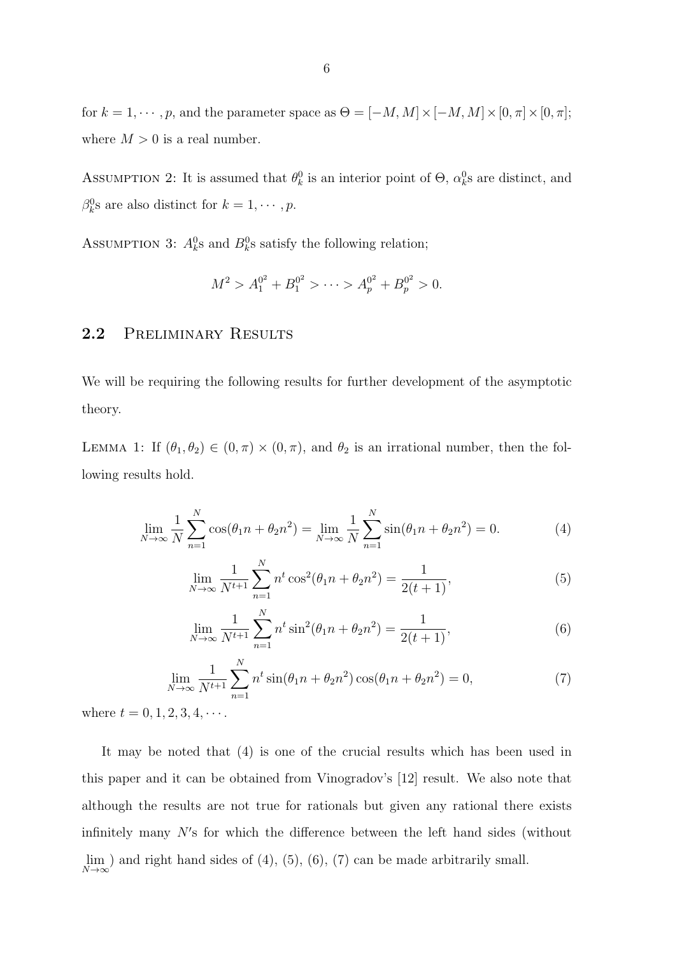for  $k = 1, \dots, p$ , and the parameter space as  $\Theta = [-M, M] \times [-M, M] \times [0, \pi] \times [0, \pi]$ ; where  $M > 0$  is a real number.

ASSUMPTION 2: It is assumed that  $\theta_k^0$  is an interior point of  $\Theta$ ,  $\alpha_k^0$ s are distinct, and  $\beta_k^0$ s are also distinct for  $k = 1, \cdots, p$ .

ASSUMPTION 3:  $A_k^0$ s and  $B_k^0$ s satisfy the following relation;

$$
M^2 > A_1^{0^2} + B_1^{0^2} > \cdots > A_p^{0^2} + B_p^{0^2} > 0.
$$

#### 2.2 PRELIMINARY RESULTS

We will be requiring the following results for further development of the asymptotic theory.

LEMMA 1: If  $(\theta_1, \theta_2) \in (0, \pi) \times (0, \pi)$ , and  $\theta_2$  is an irrational number, then the following results hold.

$$
\lim_{N \to \infty} \frac{1}{N} \sum_{n=1}^{N} \cos(\theta_1 n + \theta_2 n^2) = \lim_{N \to \infty} \frac{1}{N} \sum_{n=1}^{N} \sin(\theta_1 n + \theta_2 n^2) = 0.
$$
 (4)

$$
\lim_{N \to \infty} \frac{1}{N^{t+1}} \sum_{n=1}^{N} n^t \cos^2(\theta_1 n + \theta_2 n^2) = \frac{1}{2(t+1)},
$$
\n(5)

$$
\lim_{N \to \infty} \frac{1}{N^{t+1}} \sum_{n=1}^{N} n^t \sin^2(\theta_1 n + \theta_2 n^2) = \frac{1}{2(t+1)},
$$
\n(6)

$$
\lim_{N \to \infty} \frac{1}{N^{t+1}} \sum_{n=1}^{N} n^t \sin(\theta_1 n + \theta_2 n^2) \cos(\theta_1 n + \theta_2 n^2) = 0,
$$
\n(7)

where  $t = 0, 1, 2, 3, 4, \cdots$ .

It may be noted that (4) is one of the crucial results which has been used in this paper and it can be obtained from Vinogradov's [12] result. We also note that although the results are not true for rationals but given any rational there exists infinitely many N′ s for which the difference between the left hand sides (without lim  $N\rightarrow\infty$ ) and right hand sides of  $(4)$ ,  $(5)$ ,  $(6)$ ,  $(7)$  can be made arbitrarily small.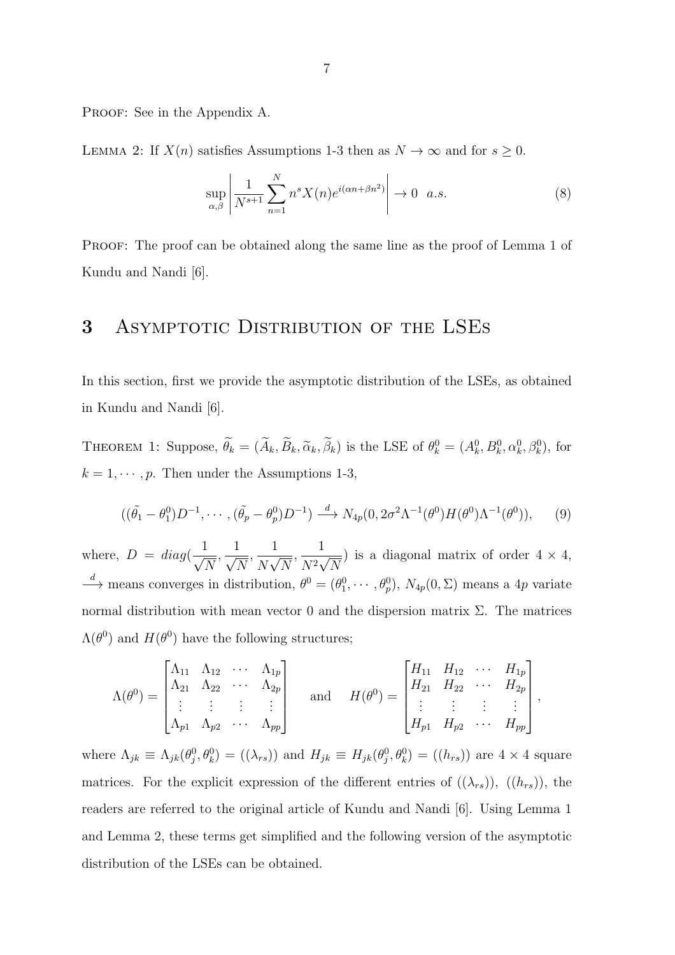PROOF: See in the Appendix A.

LEMMA 2: If  $X(n)$  satisfies Assumptions 1-3 then as  $N \to \infty$  and for  $s \geq 0$ .

$$
\sup_{\alpha,\beta} \left| \frac{1}{N^{s+1}} \sum_{n=1}^{N} n^s X(n) e^{i(\alpha n + \beta n^2)} \right| \to 0 \quad a.s.
$$
 (8)

Proof: The proof can be obtained along the same line as the proof of Lemma 1 of Kundu and Nandi [6].

### 3 ASYMPTOTIC DISTRIBUTION OF THE LSES

In this section, first we provide the asymptotic distribution of the LSEs, as obtained in Kundu and Nandi [6].

THEOREM 1: Suppose,  $\hat{\theta}_k = (\hat{A}_k, \hat{B}_k, \tilde{\alpha}_k, \hat{\beta}_k)$  is the LSE of  $\theta_k^0 = (A_k^0, B_k^0, \alpha_k^0, \beta_k^0)$ , for  $k = 1, \cdots, p$ . Then under the Assumptions 1-3,

$$
((\tilde{\theta}_1 - \theta_1^0)D^{-1}, \cdots, (\tilde{\theta}_p - \theta_p^0)D^{-1}) \xrightarrow{d} N_{4p}(0, 2\sigma^2\Lambda^{-1}(\theta^0)H(\theta^0)\Lambda^{-1}(\theta^0)),
$$
 (9)

where,  $D = diag(\frac{1}{\epsilon})$  $\sqrt{N}$  $\frac{1}{\sqrt{2}}$  $\sqrt{N}$  $\frac{1}{\sqrt{1-\frac{1}{\sqrt{1-\frac{1}{\sqrt{1-\frac{1}{\sqrt{1-\frac{1}{\sqrt{1-\frac{1}{\sqrt{1-\frac{1}{\sqrt{1-\frac{1}{\sqrt{1-\frac{1}{\sqrt{1-\frac{1}{\sqrt{1-\frac{1}{\sqrt{1-\frac{1}{\sqrt{1-\frac{1}{\sqrt{1-\frac{1}{\sqrt{1-\frac{1}{\sqrt{1-\frac{1}{\sqrt{1-\frac{1}{\sqrt{1-\frac{1}{\sqrt{1-\frac{1}{\sqrt{1+\frac{1}{\sqrt{1+\frac{1}{\sqrt{1+\frac{1}{\sqrt{1+\frac{1}{\sqrt{1+\frac{1}{\sqrt{1+\frac{1$  $\overline{N\sqrt{N}}$  $\frac{1}{\sqrt{1+\epsilon}}$  $\frac{1}{N^2\sqrt{N}}$  is a diagonal matrix of order  $4 \times 4$ ,  $\rightarrow$  means converges in distribution,  $\theta^0 = (\theta_1^0, \dots, \theta_p^0), N_{4p}(0, \Sigma)$  means a 4p variate normal distribution with mean vector 0 and the dispersion matrix Σ. The matrices  $\Lambda(\theta^0)$  and  $H(\theta^0)$  have the following structures;

$$
\Lambda(\theta^0) = \begin{bmatrix} \Lambda_{11} & \Lambda_{12} & \cdots & \Lambda_{1p} \\ \Lambda_{21} & \Lambda_{22} & \cdots & \Lambda_{2p} \\ \vdots & \vdots & \vdots & \vdots \\ \Lambda_{p1} & \Lambda_{p2} & \cdots & \Lambda_{pp} \end{bmatrix} \quad \text{and} \quad H(\theta^0) = \begin{bmatrix} H_{11} & H_{12} & \cdots & H_{1p} \\ H_{21} & H_{22} & \cdots & H_{2p} \\ \vdots & \vdots & \vdots & \vdots \\ H_{p1} & H_{p2} & \cdots & H_{pp} \end{bmatrix},
$$

where  $\Lambda_{jk} \equiv \Lambda_{jk}(\theta_j^0, \theta_k^0) = ((\lambda_{rs}))$  and  $H_{jk} \equiv H_{jk}(\theta_j^0, \theta_k^0) = ((h_{rs}))$  are  $4 \times 4$  square matrices. For the explicit expression of the different entries of  $((\lambda_{rs}))$ ,  $((h_{rs}))$ , the readers are referred to the original article of Kundu and Nandi [6]. Using Lemma 1 and Lemma 2, these terms get simplified and the following version of the asymptotic distribution of the LSEs can be obtained.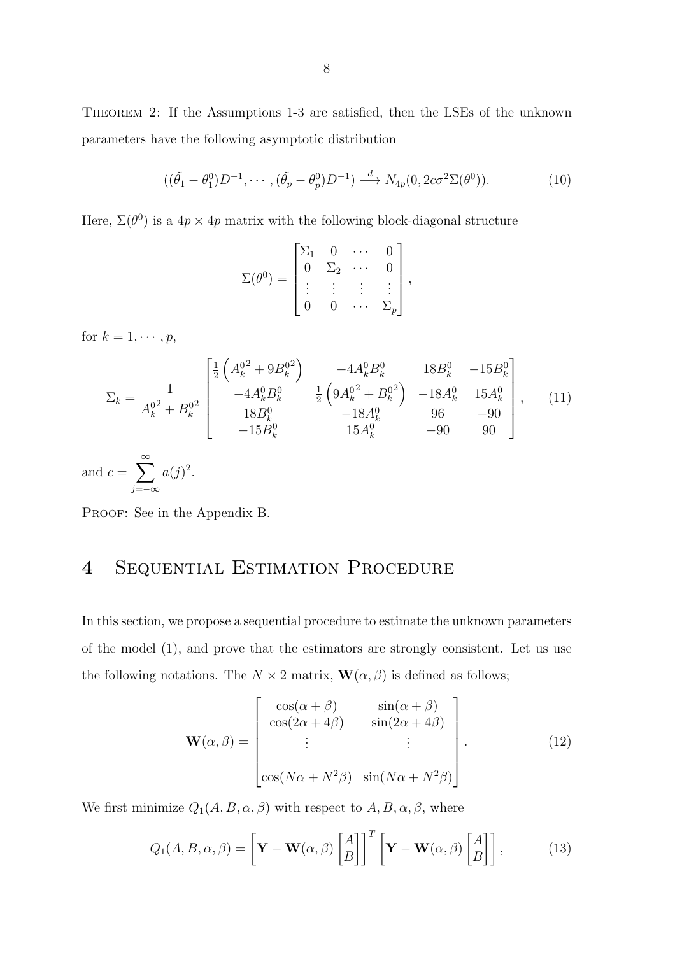Theorem 2: If the Assumptions 1-3 are satisfied, then the LSEs of the unknown parameters have the following asymptotic distribution

$$
((\tilde{\theta}_1 - \theta_1^0)D^{-1}, \cdots, (\tilde{\theta}_p - \theta_p^0)D^{-1}) \xrightarrow{d} N_{4p}(0, 2c\sigma^2\Sigma(\theta^0)).
$$
\n(10)

Here,  $\Sigma(\theta^0)$  is a  $4p \times 4p$  matrix with the following block-diagonal structure

$$
\Sigma(\theta^0) = \begin{bmatrix} \Sigma_1 & 0 & \cdots & 0 \\ 0 & \Sigma_2 & \cdots & 0 \\ \vdots & \vdots & \vdots & \vdots \\ 0 & 0 & \cdots & \Sigma_p \end{bmatrix},
$$

for  $k = 1, \cdots, p$ ,

$$
\Sigma_{k} = \frac{1}{A_{k}^{02} + B_{k}^{02}} \begin{bmatrix} \frac{1}{2} \left( A_{k}^{02} + 9B_{k}^{02} \right) & -4A_{k}^{0}B_{k}^{0} & 18B_{k}^{0} & -15B_{k}^{0} \\ -4A_{k}^{0}B_{k}^{0} & \frac{1}{2} \left( 9A_{k}^{02} + B_{k}^{02} \right) & -18A_{k}^{0} & 15A_{k}^{0} \\ 18B_{k}^{0} & -18A_{k}^{0} & 96 & -90 \\ -15B_{k}^{0} & 15A_{k}^{0} & -90 & 90 \end{bmatrix}, \quad (11)
$$

and  $c = \sum_{n=1}^{\infty}$ j=−∞  $a(j)^2$ .

PROOF: See in the Appendix B.

# 4 Sequential Estimation Procedure

In this section, we propose a sequential procedure to estimate the unknown parameters of the model (1), and prove that the estimators are strongly consistent. Let us use the following notations. The  $N \times 2$  matrix,  $\mathbf{W}(\alpha, \beta)$  is defined as follows;

$$
\mathbf{W}(\alpha, \beta) = \begin{bmatrix} \cos(\alpha + \beta) & \sin(\alpha + \beta) \\ \cos(2\alpha + 4\beta) & \sin(2\alpha + 4\beta) \\ \vdots & \vdots \\ \cos(N\alpha + N^2\beta) & \sin(N\alpha + N^2\beta) \end{bmatrix} .
$$
 (12)

We first minimize  $Q_1(A, B, \alpha, \beta)$  with respect to  $A, B, \alpha, \beta$ , where

$$
Q_1(A, B, \alpha, \beta) = \left[\mathbf{Y} - \mathbf{W}(\alpha, \beta) \begin{bmatrix} A \\ B \end{bmatrix}\right]^T \left[\mathbf{Y} - \mathbf{W}(\alpha, \beta) \begin{bmatrix} A \\ B \end{bmatrix}\right],\tag{13}
$$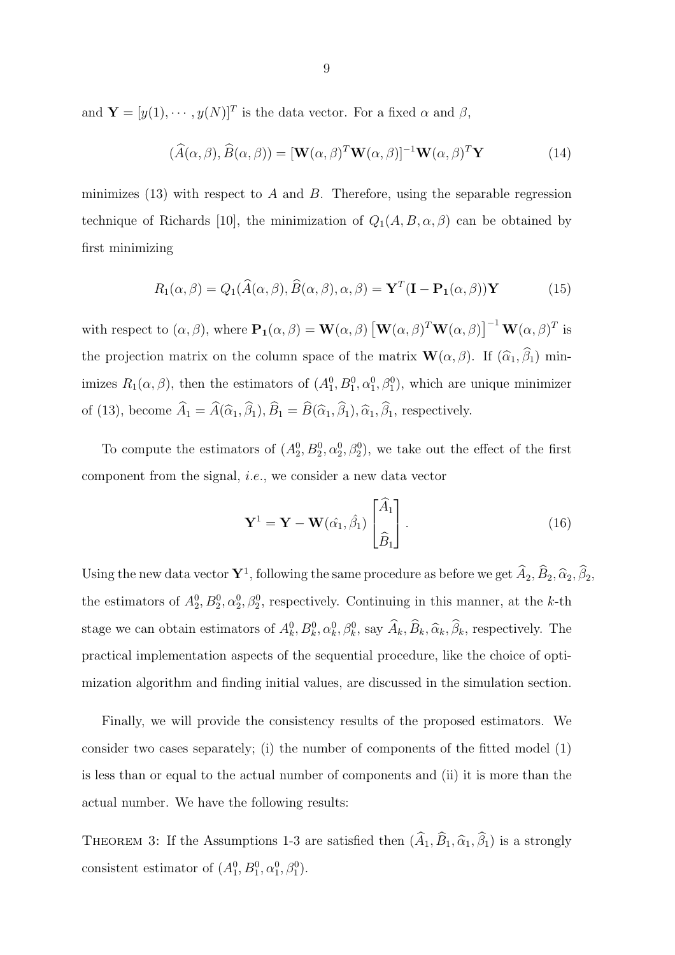and  $\mathbf{Y} = [y(1), \cdots, y(N)]^T$  is the data vector. For a fixed  $\alpha$  and  $\beta$ ,

$$
(\widehat{A}(\alpha,\beta),\widehat{B}(\alpha,\beta)) = [\mathbf{W}(\alpha,\beta)^T \mathbf{W}(\alpha,\beta)]^{-1} \mathbf{W}(\alpha,\beta)^T \mathbf{Y}
$$
(14)

minimizes (13) with respect to A and B. Therefore, using the separable regression technique of Richards [10], the minimization of  $Q_1(A, B, \alpha, \beta)$  can be obtained by first minimizing

$$
R_1(\alpha, \beta) = Q_1(\widehat{A}(\alpha, \beta), \widehat{B}(\alpha, \beta), \alpha, \beta) = \mathbf{Y}^T (\mathbf{I} - \mathbf{P}_1(\alpha, \beta)) \mathbf{Y}
$$
(15)

with respect to  $(\alpha, \beta)$ , where  $\mathbf{P}_1(\alpha, \beta) = \mathbf{W}(\alpha, \beta) [\mathbf{W}(\alpha, \beta)^T \mathbf{W}(\alpha, \beta)]^{-1} \mathbf{W}(\alpha, \beta)^T$  is the projection matrix on the column space of the matrix  $\mathbf{W}(\alpha, \beta)$ . If  $(\widehat{\alpha}_1, \widehat{\beta}_1)$  minimizes  $R_1(\alpha, \beta)$ , then the estimators of  $(A_1^0, B_1^0, \alpha_1^0, \beta_1^0)$ , which are unique minimizer of (13), become  $\widehat{A}_1 = \widehat{A}(\widehat{\alpha}_1, \widehat{\beta}_1), \widehat{B}_1 = \widehat{B}(\widehat{\alpha}_1, \widehat{\beta}_1), \widehat{\alpha}_1, \widehat{\beta}_1$ , respectively.

To compute the estimators of  $(A_2^0, B_2^0, \alpha_2^0, \beta_2^0)$ , we take out the effect of the first component from the signal, i.e., we consider a new data vector

$$
\mathbf{Y}^1 = \mathbf{Y} - \mathbf{W}(\hat{\alpha_1}, \hat{\beta_1}) \begin{bmatrix} \hat{A}_1 \\ \hat{B}_1 \end{bmatrix} .
$$
 (16)

Using the new data vector  $Y^1$ , following the same procedure as before we get  $\hat{A}_2, \hat{B}_2, \hat{\alpha}_2, \hat{\beta}_2, \hat{\alpha}_3$ the estimators of  $A_2^0, B_2^0, \alpha_2^0, \beta_2^0$ , respectively. Continuing in this manner, at the k-th stage we can obtain estimators of  $A_k^0, B_k^0, \alpha_k^0, \beta_k^0$ , say  $\hat{A}_k, \hat{B}_k, \hat{\alpha}_k, \hat{\beta}_k$ , respectively. The practical implementation aspects of the sequential procedure, like the choice of optimization algorithm and finding initial values, are discussed in the simulation section.

Finally, we will provide the consistency results of the proposed estimators. We consider two cases separately; (i) the number of components of the fitted model (1) is less than or equal to the actual number of components and (ii) it is more than the actual number. We have the following results:

THEOREM 3: If the Assumptions 1-3 are satisfied then  $(\widehat{A}_1, \widehat{B}_1, \widehat{\alpha}_1, \widehat{\beta}_1)$  is a strongly consistent estimator of  $(A_1^0, B_1^0, \alpha_1^0, \beta_1^0)$ .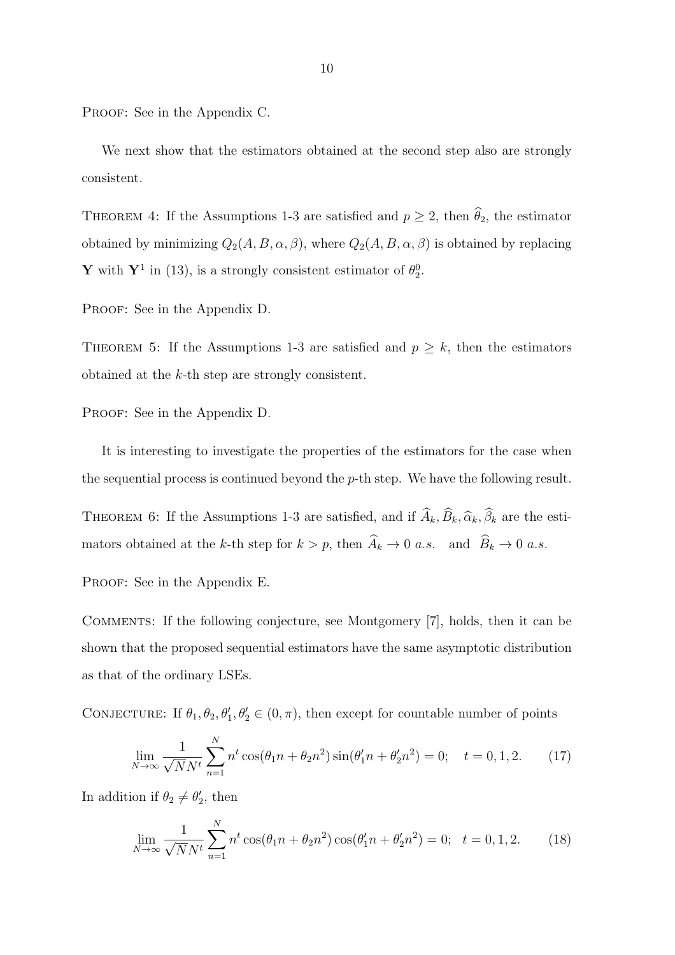PROOF: See in the Appendix C.

We next show that the estimators obtained at the second step also are strongly consistent.

THEOREM 4: If the Assumptions 1-3 are satisfied and  $p \ge 2$ , then  $\widehat{\theta}_2$ , the estimator obtained by minimizing  $Q_2(A, B, \alpha, \beta)$ , where  $Q_2(A, B, \alpha, \beta)$  is obtained by replacing **Y** with **Y**<sup>1</sup> in (13), is a strongly consistent estimator of  $\theta_2^0$ .

PROOF: See in the Appendix D.

THEOREM 5: If the Assumptions 1-3 are satisfied and  $p \geq k$ , then the estimators obtained at the k-th step are strongly consistent.

PROOF: See in the Appendix D.

It is interesting to investigate the properties of the estimators for the case when the sequential process is continued beyond the  $p$ -th step. We have the following result.

THEOREM 6: If the Assumptions 1-3 are satisfied, and if  $\widehat{A}_k, \widehat{B}_k, \widehat{\alpha}_k, \widehat{\beta}_k$  are the estimators obtained at the k-th step for  $k > p$ , then  $\widehat{A}_k \to 0$  a.s. and  $\widehat{B}_k \to 0$  a.s.

PROOF: See in the Appendix E.

Comments: If the following conjecture, see Montgomery [7], holds, then it can be shown that the proposed sequential estimators have the same asymptotic distribution as that of the ordinary LSEs.

CONJECTURE: If  $\theta_1, \theta_2, \theta'_1, \theta'_2 \in (0, \pi)$ , then except for countable number of points

$$
\lim_{N \to \infty} \frac{1}{\sqrt{N}N^t} \sum_{n=1}^N n^t \cos(\theta_1 n + \theta_2 n^2) \sin(\theta_1' n + \theta_2' n^2) = 0; \quad t = 0, 1, 2. \tag{17}
$$

In addition if  $\theta_2 \neq \theta_2'$ , then

$$
\lim_{N \to \infty} \frac{1}{\sqrt{N}N^t} \sum_{n=1}^{N} n^t \cos(\theta_1 n + \theta_2 n^2) \cos(\theta_1 n + \theta_2 n^2) = 0; \quad t = 0, 1, 2. \tag{18}
$$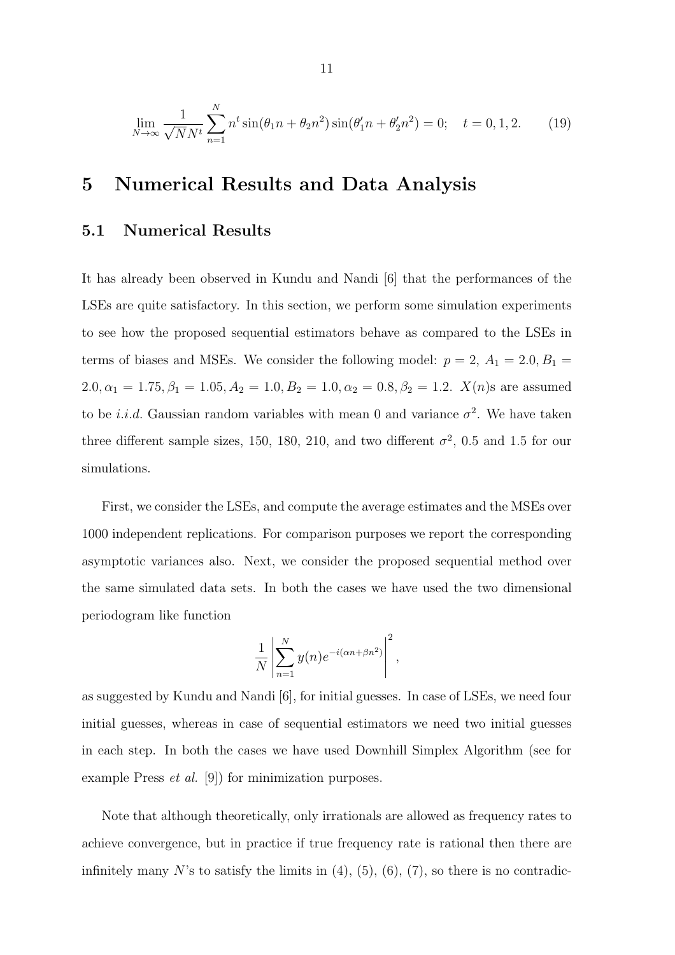$$
\lim_{N \to \infty} \frac{1}{\sqrt{N}N^t} \sum_{n=1}^{N} n^t \sin(\theta_1 n + \theta_2 n^2) \sin(\theta_1 n + \theta_2 n^2) = 0; \quad t = 0, 1, 2.
$$
 (19)

### 5 Numerical Results and Data Analysis

### 5.1 Numerical Results

It has already been observed in Kundu and Nandi [6] that the performances of the LSEs are quite satisfactory. In this section, we perform some simulation experiments to see how the proposed sequential estimators behave as compared to the LSEs in terms of biases and MSEs. We consider the following model:  $p = 2$ ,  $A_1 = 2.0, B_1 =$  $2.0, \alpha_1 = 1.75, \beta_1 = 1.05, A_2 = 1.0, B_2 = 1.0, \alpha_2 = 0.8, \beta_2 = 1.2$ .  $X(n)$ s are assumed to be *i.i.d.* Gaussian random variables with mean 0 and variance  $\sigma^2$ . We have taken three different sample sizes, 150, 180, 210, and two different  $\sigma^2$ , 0.5 and 1.5 for our simulations.

First, we consider the LSEs, and compute the average estimates and the MSEs over 1000 independent replications. For comparison purposes we report the corresponding asymptotic variances also. Next, we consider the proposed sequential method over the same simulated data sets. In both the cases we have used the two dimensional periodogram like function

$$
\frac{1}{N} \left| \sum_{n=1}^{N} y(n) e^{-i(\alpha n + \beta n^2)} \right|^2,
$$

as suggested by Kundu and Nandi [6], for initial guesses. In case of LSEs, we need four initial guesses, whereas in case of sequential estimators we need two initial guesses in each step. In both the cases we have used Downhill Simplex Algorithm (see for example Press et al. [9]) for minimization purposes.

Note that although theoretically, only irrationals are allowed as frequency rates to achieve convergence, but in practice if true frequency rate is rational then there are infinitely many N's to satisfy the limits in  $(4)$ ,  $(5)$ ,  $(6)$ ,  $(7)$ , so there is no contradic-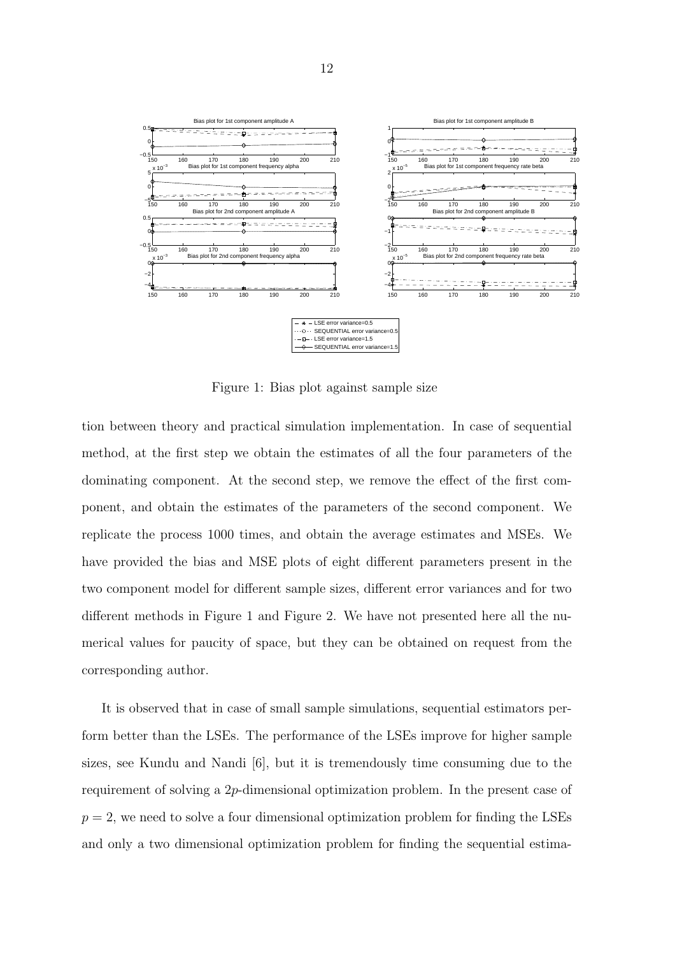

Figure 1: Bias plot against sample size

tion between theory and practical simulation implementation. In case of sequential method, at the first step we obtain the estimates of all the four parameters of the dominating component. At the second step, we remove the effect of the first component, and obtain the estimates of the parameters of the second component. We replicate the process 1000 times, and obtain the average estimates and MSEs. We have provided the bias and MSE plots of eight different parameters present in the two component model for different sample sizes, different error variances and for two different methods in Figure 1 and Figure 2. We have not presented here all the numerical values for paucity of space, but they can be obtained on request from the corresponding author.

It is observed that in case of small sample simulations, sequential estimators perform better than the LSEs. The performance of the LSEs improve for higher sample sizes, see Kundu and Nandi [6], but it is tremendously time consuming due to the requirement of solving a 2p-dimensional optimization problem. In the present case of  $p = 2$ , we need to solve a four dimensional optimization problem for finding the LSEs and only a two dimensional optimization problem for finding the sequential estima-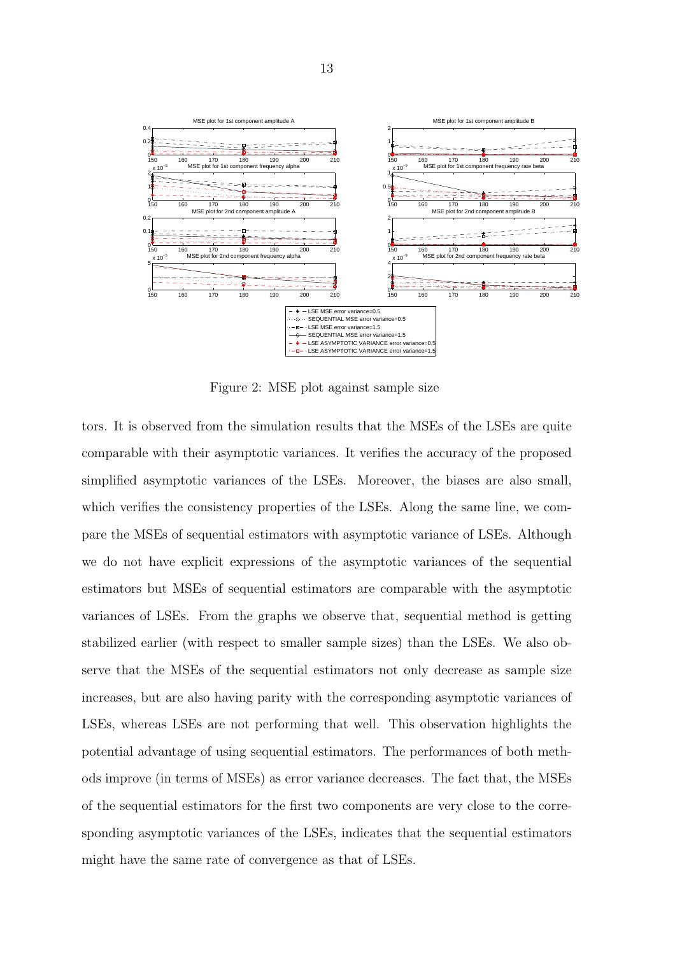

Figure 2: MSE plot against sample size

tors. It is observed from the simulation results that the MSEs of the LSEs are quite comparable with their asymptotic variances. It verifies the accuracy of the proposed simplified asymptotic variances of the LSEs. Moreover, the biases are also small, which verifies the consistency properties of the LSEs. Along the same line, we compare the MSEs of sequential estimators with asymptotic variance of LSEs. Although we do not have explicit expressions of the asymptotic variances of the sequential estimators but MSEs of sequential estimators are comparable with the asymptotic variances of LSEs. From the graphs we observe that, sequential method is getting stabilized earlier (with respect to smaller sample sizes) than the LSEs. We also observe that the MSEs of the sequential estimators not only decrease as sample size increases, but are also having parity with the corresponding asymptotic variances of LSEs, whereas LSEs are not performing that well. This observation highlights the potential advantage of using sequential estimators. The performances of both methods improve (in terms of MSEs) as error variance decreases. The fact that, the MSEs of the sequential estimators for the first two components are very close to the corresponding asymptotic variances of the LSEs, indicates that the sequential estimators might have the same rate of convergence as that of LSEs.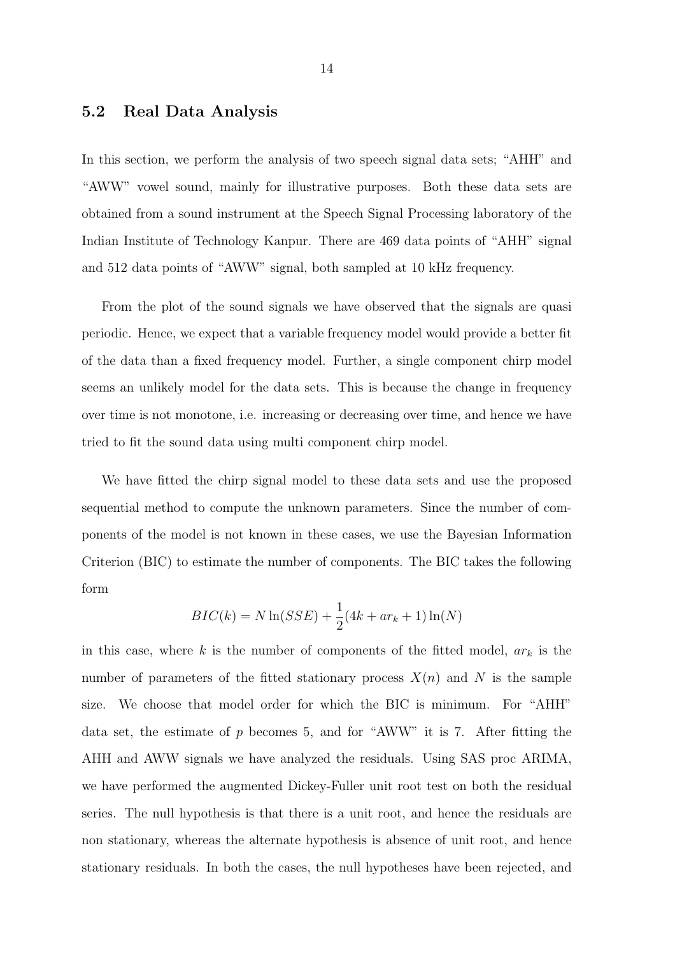#### 5.2 Real Data Analysis

In this section, we perform the analysis of two speech signal data sets; "AHH" and "AWW" vowel sound, mainly for illustrative purposes. Both these data sets are obtained from a sound instrument at the Speech Signal Processing laboratory of the Indian Institute of Technology Kanpur. There are 469 data points of "AHH" signal and 512 data points of "AWW" signal, both sampled at 10 kHz frequency.

From the plot of the sound signals we have observed that the signals are quasi periodic. Hence, we expect that a variable frequency model would provide a better fit of the data than a fixed frequency model. Further, a single component chirp model seems an unlikely model for the data sets. This is because the change in frequency over time is not monotone, i.e. increasing or decreasing over time, and hence we have tried to fit the sound data using multi component chirp model.

We have fitted the chirp signal model to these data sets and use the proposed sequential method to compute the unknown parameters. Since the number of components of the model is not known in these cases, we use the Bayesian Information Criterion (BIC) to estimate the number of components. The BIC takes the following form

$$
BIC(k) = N \ln (SSE) + \frac{1}{2} (4k + ar_k + 1) \ln(N)
$$

in this case, where k is the number of components of the fitted model,  $ar_k$  is the number of parameters of the fitted stationary process  $X(n)$  and N is the sample size. We choose that model order for which the BIC is minimum. For "AHH" data set, the estimate of  $p$  becomes 5, and for "AWW" it is 7. After fitting the AHH and AWW signals we have analyzed the residuals. Using SAS proc ARIMA, we have performed the augmented Dickey-Fuller unit root test on both the residual series. The null hypothesis is that there is a unit root, and hence the residuals are non stationary, whereas the alternate hypothesis is absence of unit root, and hence stationary residuals. In both the cases, the null hypotheses have been rejected, and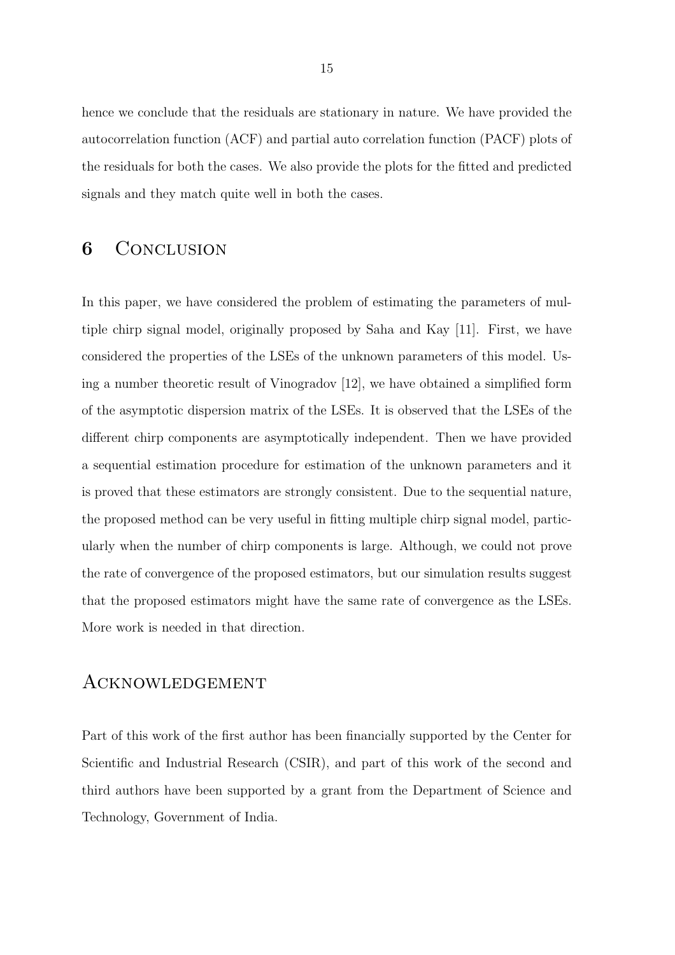hence we conclude that the residuals are stationary in nature. We have provided the autocorrelation function (ACF) and partial auto correlation function (PACF) plots of the residuals for both the cases. We also provide the plots for the fitted and predicted signals and they match quite well in both the cases.

### 6 CONCLUSION

In this paper, we have considered the problem of estimating the parameters of multiple chirp signal model, originally proposed by Saha and Kay [11]. First, we have considered the properties of the LSEs of the unknown parameters of this model. Using a number theoretic result of Vinogradov [12], we have obtained a simplified form of the asymptotic dispersion matrix of the LSEs. It is observed that the LSEs of the different chirp components are asymptotically independent. Then we have provided a sequential estimation procedure for estimation of the unknown parameters and it is proved that these estimators are strongly consistent. Due to the sequential nature, the proposed method can be very useful in fitting multiple chirp signal model, particularly when the number of chirp components is large. Although, we could not prove the rate of convergence of the proposed estimators, but our simulation results suggest that the proposed estimators might have the same rate of convergence as the LSEs. More work is needed in that direction.

### Acknowledgement

Part of this work of the first author has been financially supported by the Center for Scientific and Industrial Research (CSIR), and part of this work of the second and third authors have been supported by a grant from the Department of Science and Technology, Government of India.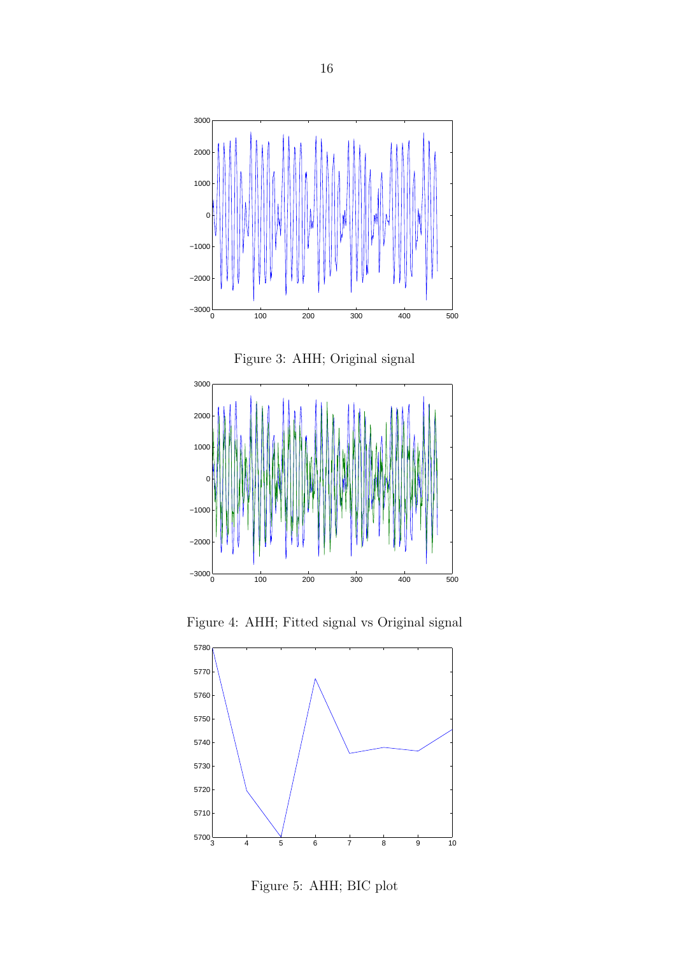





Figure 4: AHH; Fitted signal vs Original signal



Figure 5: AHH; BIC plot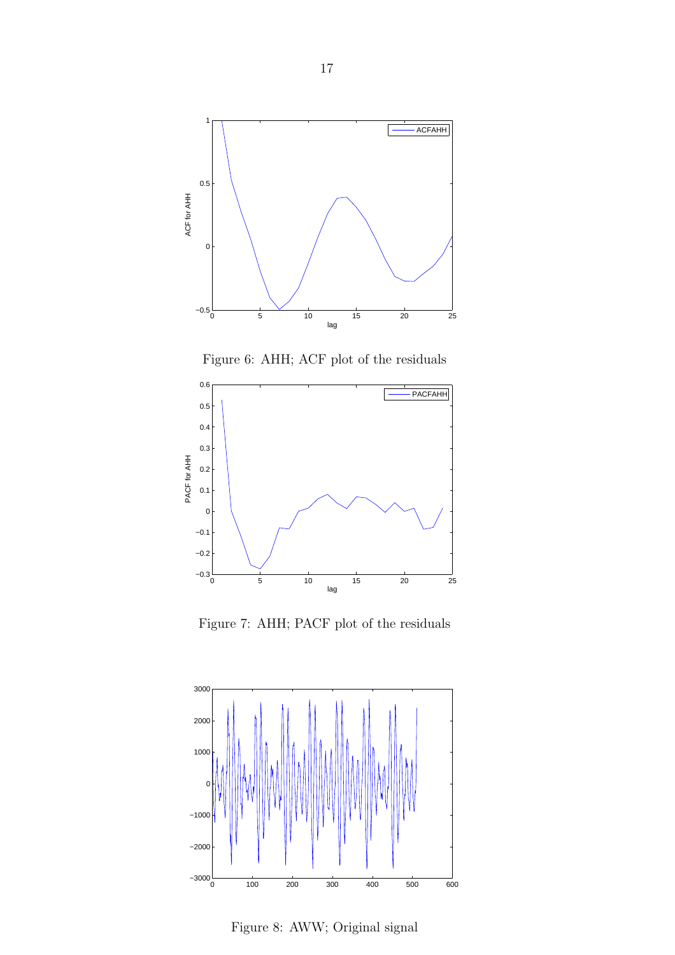

Figure 6: AHH; ACF plot of the residuals



Figure 7: AHH; PACF plot of the residuals



Figure 8: AWW; Original signal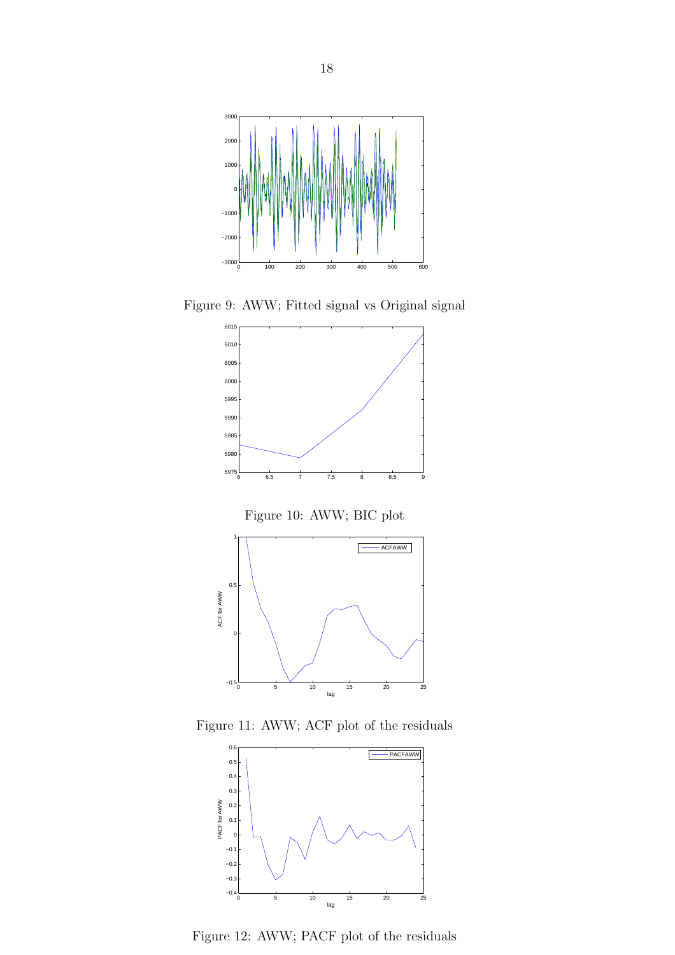

Figure 9: AWW; Fitted signal vs Original signal



Figure 10: AWW; BIC plot



Figure 11: AWW; ACF plot of the residuals



Figure 12: AWW; PACF plot of the residuals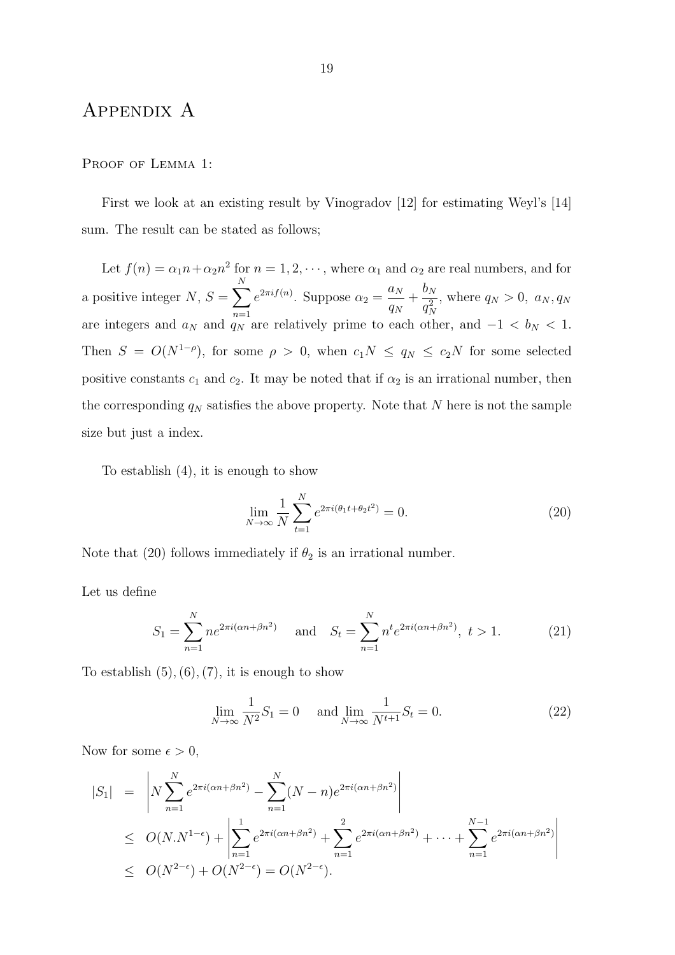### Appendix A

#### PROOF OF LEMMA 1:

First we look at an existing result by Vinogradov [12] for estimating Weyl's [14] sum. The result can be stated as follows;

Let  $f(n) = \alpha_1 n + \alpha_2 n^2$  for  $n = 1, 2, \dots$ , where  $\alpha_1$  and  $\alpha_2$  are real numbers, and for a positive integer  $N, S = \sum_{n=1}^{N}$  $n=1$  $e^{2\pi i f(n)}$ . Suppose  $\alpha_2 =$  $a_N$  $\frac{a_N}{q_N}+\frac{b_N}{q_N^2}$  $q^2_N$ , where  $q_N > 0$ ,  $a_N, q_N$ are integers and  $a_N$  and  $\frac{n-1}{q_N}$  are relatively prime to each other, and  $-1 < b_N < 1$ . Then  $S = O(N^{1-\rho})$ , for some  $\rho > 0$ , when  $c_1 N \le q_N \le c_2 N$  for some selected positive constants  $c_1$  and  $c_2$ . It may be noted that if  $\alpha_2$  is an irrational number, then the corresponding  $q_N$  satisfies the above property. Note that N here is not the sample size but just a index.

To establish (4), it is enough to show

$$
\lim_{N \to \infty} \frac{1}{N} \sum_{t=1}^{N} e^{2\pi i (\theta_1 t + \theta_2 t^2)} = 0.
$$
\n(20)

Note that (20) follows immediately if  $\theta_2$  is an irrational number.

Let us define

$$
S_1 = \sum_{n=1}^{N} n e^{2\pi i (\alpha n + \beta n^2)} \quad \text{and} \quad S_t = \sum_{n=1}^{N} n^t e^{2\pi i (\alpha n + \beta n^2)}, \ t > 1. \tag{21}
$$

To establish  $(5), (6), (7)$ , it is enough to show

$$
\lim_{N \to \infty} \frac{1}{N^2} S_1 = 0 \quad \text{and} \lim_{N \to \infty} \frac{1}{N^{t+1}} S_t = 0.
$$
 (22)

Now for some  $\epsilon > 0$ ,

$$
|S_1| = \left| N \sum_{n=1}^{N} e^{2\pi i (\alpha n + \beta n^2)} - \sum_{n=1}^{N} (N - n) e^{2\pi i (\alpha n + \beta n^2)} \right|
$$
  
\n
$$
\leq O(N.N^{1-\epsilon}) + \left| \sum_{n=1}^{1} e^{2\pi i (\alpha n + \beta n^2)} + \sum_{n=1}^{2} e^{2\pi i (\alpha n + \beta n^2)} + \dots + \sum_{n=1}^{N-1} e^{2\pi i (\alpha n + \beta n^2)} \right|
$$
  
\n
$$
\leq O(N^{2-\epsilon}) + O(N^{2-\epsilon}) = O(N^{2-\epsilon}).
$$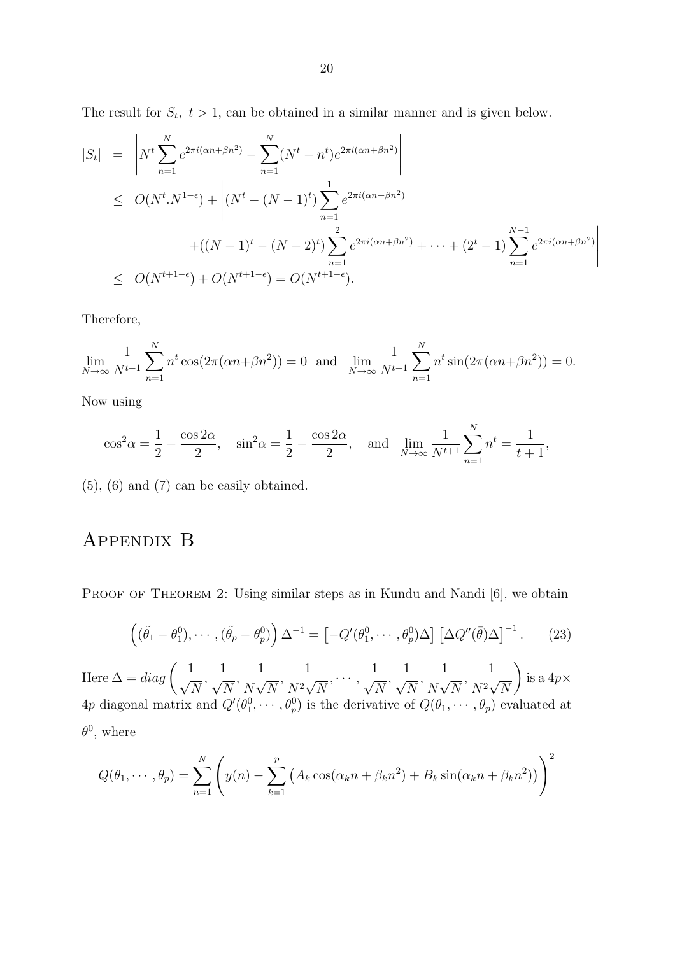The result for  $S_t$ ,  $t > 1$ , can be obtained in a similar manner and is given below.

$$
|S_t| = \left| N^t \sum_{n=1}^N e^{2\pi i (\alpha n + \beta n^2)} - \sum_{n=1}^N (N^t - n^t) e^{2\pi i (\alpha n + \beta n^2)} \right|
$$
  
\n
$$
\leq O(N^t \cdot N^{1-\epsilon}) + \left| (N^t - (N-1)^t) \sum_{n=1}^1 e^{2\pi i (\alpha n + \beta n^2)} + \dots + (2^t - 1) \sum_{n=1}^{N-1} e^{2\pi i (\alpha n + \beta n^2)} \right|
$$
  
\n
$$
\leq O(N^{t+1-\epsilon}) + O(N^{t+1-\epsilon}) = O(N^{t+1-\epsilon}).
$$

Therefore,

$$
\lim_{N \to \infty} \frac{1}{N^{t+1}} \sum_{n=1}^{N} n^t \cos(2\pi(\alpha n + \beta n^2)) = 0 \text{ and } \lim_{N \to \infty} \frac{1}{N^{t+1}} \sum_{n=1}^{N} n^t \sin(2\pi(\alpha n + \beta n^2)) = 0.
$$

Now using

$$
\cos^2 \alpha = \frac{1}{2} + \frac{\cos 2\alpha}{2}
$$
,  $\sin^2 \alpha = \frac{1}{2} - \frac{\cos 2\alpha}{2}$ , and  $\lim_{N \to \infty} \frac{1}{N^{t+1}} \sum_{n=1}^{N} n^t = \frac{1}{t+1}$ ,

(5), (6) and (7) can be easily obtained.

## Appendix B

PROOF OF THEOREM 2: Using similar steps as in Kundu and Nandi [6], we obtain

$$
\left( (\tilde{\theta}_1 - \theta_1^0), \cdots, (\tilde{\theta}_p - \theta_p^0) \right) \Delta^{-1} = \left[ -Q'(\theta_1^0, \cdots, \theta_p^0) \Delta \right] \left[ \Delta Q''(\bar{\theta}) \Delta \right]^{-1}.
$$
 (23)

Here  $\Delta = diag\left(-\frac{1}{\epsilon}\right)$  $\sqrt{N}$  $\frac{1}{\sqrt{2}}$  $\sqrt{N}$  $\frac{1}{\sqrt{1-\frac{1}{\sqrt{1-\frac{1}{\sqrt{1-\frac{1}{\sqrt{1-\frac{1}{\sqrt{1-\frac{1}{\sqrt{1-\frac{1}{\sqrt{1-\frac{1}{\sqrt{1-\frac{1}{\sqrt{1-\frac{1}{\sqrt{1-\frac{1}{\sqrt{1-\frac{1}{\sqrt{1-\frac{1}{\sqrt{1-\frac{1}{\sqrt{1-\frac{1}{\sqrt{1-\frac{1}{\sqrt{1-\frac{1}{\sqrt{1-\frac{1}{\sqrt{1-\frac{1}{\sqrt{1+\frac{1}{\sqrt{1+\frac{1}{\sqrt{1+\frac{1}{\sqrt{1+\frac{1}{\sqrt{1+\frac{1}{\sqrt{1+\frac{1$  $\overline{N\sqrt{N}}$  $\frac{1}{\sqrt{1+\epsilon}}$  $\frac{1}{N^2\sqrt{N}},\cdots,\frac{1}{\sqrt{N}}$  $\sqrt{N}$  $\frac{1}{\sqrt{2}}$  $\sqrt{N}$  $\frac{1}{\sqrt{1-\frac{1}{\sqrt{1-\frac{1}{\sqrt{1-\frac{1}{\sqrt{1-\frac{1}{\sqrt{1-\frac{1}{\sqrt{1-\frac{1}{\sqrt{1-\frac{1}{\sqrt{1-\frac{1}{\sqrt{1-\frac{1}{\sqrt{1-\frac{1}{\sqrt{1-\frac{1}{\sqrt{1-\frac{1}{\sqrt{1-\frac{1}{\sqrt{1-\frac{1}{\sqrt{1-\frac{1}{\sqrt{1-\frac{1}{\sqrt{1-\frac{1}{\sqrt{1-\frac{1}{\sqrt{1+\frac{1}{\sqrt{1+\frac{1}{\sqrt{1+\frac{1}{\sqrt{1+\frac{1}{\sqrt{1+\frac{1}{\sqrt{1+\frac{1$  $\overline{N\sqrt{N}}$  $\frac{1}{\sqrt{1+\epsilon}}$  $\overline{N^2\sqrt{N}}$  $\overline{\phantom{0}}$ is a  $4p\times$ 4p diagonal matrix and  $Q'(\theta_1^0, \dots, \theta_p^0)$  is the derivative of  $Q(\theta_1, \dots, \theta_p)$  evaluated at  $\theta^0$ , where

$$
Q(\theta_1, \cdots, \theta_p) = \sum_{n=1}^N \left( y(n) - \sum_{k=1}^p \left( A_k \cos(\alpha_k n + \beta_k n^2) + B_k \sin(\alpha_k n + \beta_k n^2) \right) \right)^2
$$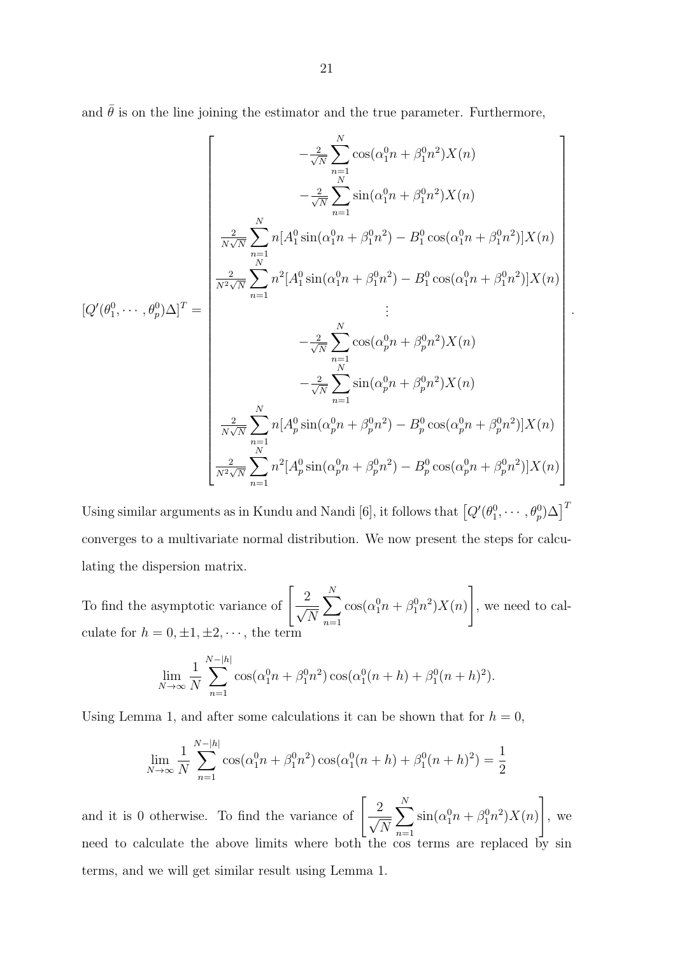and  $\bar{\theta}$  is on the line joining the estimator and the true parameter. Furthermore,

$$
[Q'(\theta_1^0, \dots, \theta_p^0) \Delta]^T = \begin{bmatrix} -\frac{2}{\sqrt{N}} \sum_{n=1}^N \cos(\alpha_1^0 n + \beta_1^0 n^2) X(n) \\ -\frac{2}{\sqrt{N}} \sum_{n=1}^N \sin(\alpha_1^0 n + \beta_1^0 n^2) X(n) \\ \frac{2}{N\sqrt{N}} \sum_{n=1}^N n [A_1^0 \sin(\alpha_1^0 n + \beta_1^0 n^2) - B_1^0 \cos(\alpha_1^0 n + \beta_1^0 n^2)] X(n) \\ \frac{2}{N^2 \sqrt{N}} \sum_{n=1}^N n^2 [A_1^0 \sin(\alpha_1^0 n + \beta_1^0 n^2) - B_1^0 \cos(\alpha_1^0 n + \beta_1^0 n^2)] X(n) \\ \vdots \\ -\frac{2}{\sqrt{N}} \sum_{n=1}^N \cos(\alpha_p^0 n + \beta_p^0 n^2) X(n) \\ -\frac{2}{\sqrt{N}} \sum_{n=1}^N \sin(\alpha_p^0 n + \beta_p^0 n^2) X(n) \\ \frac{2}{N\sqrt{N}} \sum_{n=1}^N n [A_p^0 \sin(\alpha_p^0 n + \beta_p^0 n^2) - B_p^0 \cos(\alpha_p^0 n + \beta_p^0 n^2)] X(n) \\ \frac{2}{N^2 \sqrt{N}} \sum_{n=1}^N n^2 [A_p^0 \sin(\alpha_p^0 n + \beta_p^0 n^2) - B_p^0 \cos(\alpha_p^0 n + \beta_p^0 n^2)] X(n) \end{bmatrix}
$$

.

Using similar arguments as in Kundu and Nandi [6], it follows that  $\left[Q'(\theta_1^0, \cdots, \theta_p^0)\Delta\right]^T$ converges to a multivariate normal distribution. We now present the steps for calculating the dispersion matrix.

To find the asymptotic variance of  $\left[\frac{2}{\sqrt{2}}\right]$  $\sqrt{N}$  $\sum_{i=1}^{N}$  $n=1$  $\cos(\alpha_1^0 n + \beta_1^0 n^2) X(n)$ 1 , we need to calculate for  $h = 0, \pm 1, \pm 2, \cdots$ , the term

$$
\lim_{N \to \infty} \frac{1}{N} \sum_{n=1}^{N-|h|} \cos(\alpha_1^0 n + \beta_1^0 n^2) \cos(\alpha_1^0 (n+h) + \beta_1^0 (n+h)^2).
$$

Using Lemma 1, and after some calculations it can be shown that for  $h = 0$ ,

$$
\lim_{N \to \infty} \frac{1}{N} \sum_{n=1}^{N-|h|} \cos(\alpha_1^0 n + \beta_1^0 n^2) \cos(\alpha_1^0 (n+h) + \beta_1^0 (n+h)^2) = \frac{1}{2}
$$

and it is 0 otherwise. To find the variance of  $\begin{bmatrix} 2 \end{bmatrix}$  $\sqrt{N}$  $\sum_{i=1}^{N}$  $n=1$  $\sin(\alpha_1^0 n + \beta_1^0 n^2) X(n)$ 1 , we need to calculate the above limits where both the cos terms are replaced by sin terms, and we will get similar result using Lemma 1.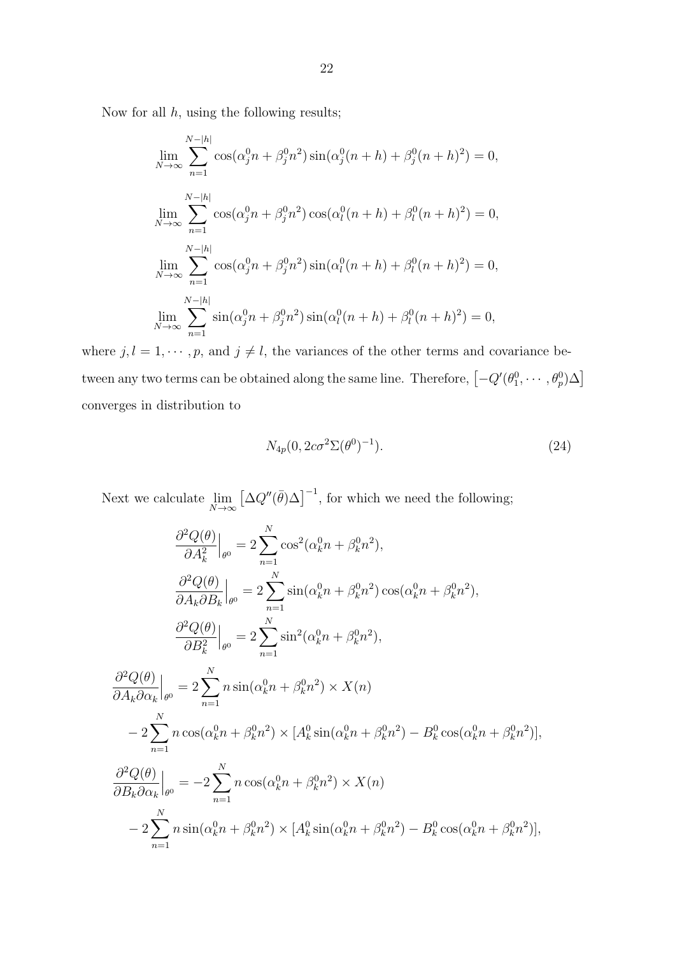Now for all  $h$ , using the following results;

$$
\lim_{N \to \infty} \sum_{n=1}^{N-|h|} \cos(\alpha_j^0 n + \beta_j^0 n^2) \sin(\alpha_j^0 (n+h) + \beta_j^0 (n+h)^2) = 0,
$$
  
\n
$$
\lim_{N \to \infty} \sum_{n=1}^{N-|h|} \cos(\alpha_j^0 n + \beta_j^0 n^2) \cos(\alpha_l^0 (n+h) + \beta_l^0 (n+h)^2) = 0,
$$
  
\n
$$
\lim_{N \to \infty} \sum_{n=1}^{N-|h|} \cos(\alpha_j^0 n + \beta_j^0 n^2) \sin(\alpha_l^0 (n+h) + \beta_l^0 (n+h)^2) = 0,
$$
  
\n
$$
\lim_{N \to \infty} \sum_{n=1}^{N-|h|} \sin(\alpha_j^0 n + \beta_j^0 n^2) \sin(\alpha_l^0 (n+h) + \beta_l^0 (n+h)^2) = 0,
$$

where  $j, l = 1, \dots, p$ , and  $j \neq l$ , the variances of the other terms and covariance between any two terms can be obtained along the same line. Therefore,  $\left[-Q'(\theta_1^0, \cdots, \theta_p^0)\Delta\right]$ converges in distribution to

$$
N_{4p}(0, 2c\sigma^2 \Sigma(\theta^0)^{-1}).
$$
\n(24)

Next we calculate  $\lim$  $N\rightarrow\infty$  $\left[\Delta Q''(\bar{\theta})\Delta\right]^{-1}$ , for which we need the following;

$$
\frac{\partial^2 Q(\theta)}{\partial A_k^2}\Big|_{\theta^0} = 2 \sum_{n=1}^N \cos^2(\alpha_k^0 n + \beta_k^0 n^2),
$$
  

$$
\frac{\partial^2 Q(\theta)}{\partial A_k \partial B_k}\Big|_{\theta^0} = 2 \sum_{n=1}^N \sin(\alpha_k^0 n + \beta_k^0 n^2) \cos(\alpha_k^0 n + \beta_k^0 n^2),
$$
  

$$
\frac{\partial^2 Q(\theta)}{\partial B_k^2}\Big|_{\theta^0} = 2 \sum_{n=1}^N \sin^2(\alpha_k^0 n + \beta_k^0 n^2),
$$
  

$$
\frac{\partial^2 Q(\theta)}{\partial A_k \partial \alpha_k}\Big|_{\theta^0} = 2 \sum_{n=1}^N n \sin(\alpha_k^0 n + \beta_k^0 n^2) \times X(n)
$$
  

$$
-2 \sum_{n=1}^N n \cos(\alpha_k^0 n + \beta_k^0 n^2) \times [A_k^0 \sin(\alpha_k^0 n + \beta_k^0 n^2) - B_k^0 \cos(\alpha_k^0 n + \beta_k^0 n^2)],
$$
  

$$
\frac{\partial^2 Q(\theta)}{\partial B_k \partial \alpha_k}\Big|_{\theta^0} = -2 \sum_{n=1}^N n \cos(\alpha_k^0 n + \beta_k^0 n^2) \times X(n)
$$
  

$$
-2 \sum_{n=1}^N n \sin(\alpha_k^0 n + \beta_k^0 n^2) \times [A_k^0 \sin(\alpha_k^0 n + \beta_k^0 n^2) - B_k^0 \cos(\alpha_k^0 n + \beta_k^0 n^2)],
$$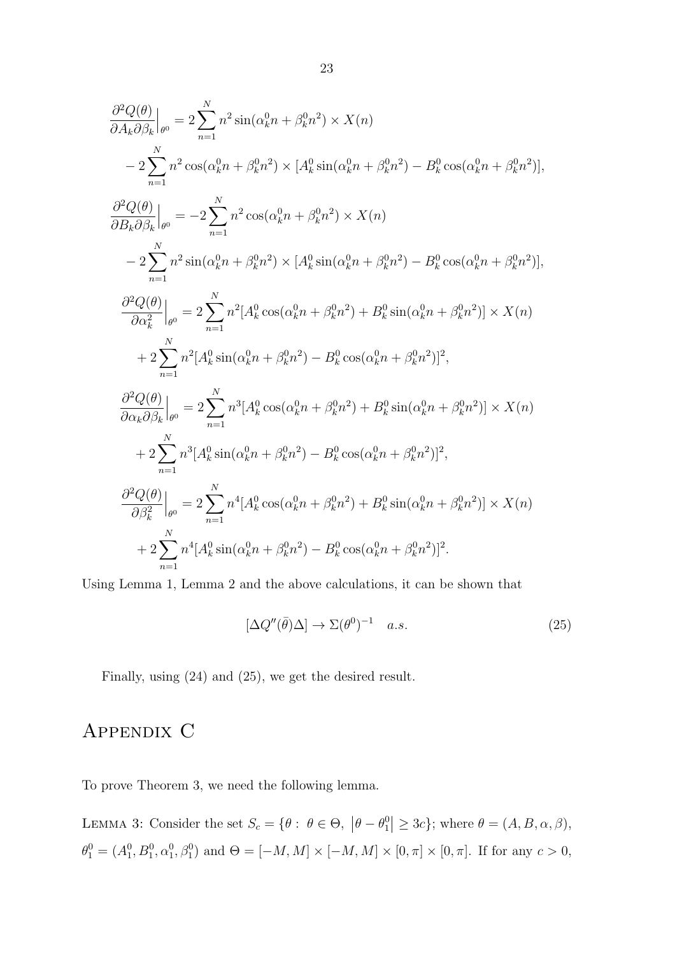$$
\frac{\partial^2 Q(\theta)}{\partial A_k \partial \beta_k}\Big|_{\theta^0} = 2 \sum_{n=1}^N n^2 \sin(\alpha_k^0 n + \beta_k^0 n^2) \times X(n)
$$
  
\n
$$
-2 \sum_{n=1}^N n^2 \cos(\alpha_k^0 n + \beta_k^0 n^2) \times [A_k^0 \sin(\alpha_k^0 n + \beta_k^0 n^2) - B_k^0 \cos(\alpha_k^0 n + \beta_k^0 n^2)],
$$
  
\n
$$
\frac{\partial^2 Q(\theta)}{\partial B_k \partial \beta_k}\Big|_{\theta^0} = -2 \sum_{n=1}^N n^2 \cos(\alpha_k^0 n + \beta_k^0 n^2) \times X(n)
$$
  
\n
$$
-2 \sum_{n=1}^N n^2 \sin(\alpha_k^0 n + \beta_k^0 n^2) \times [A_k^0 \sin(\alpha_k^0 n + \beta_k^0 n^2) - B_k^0 \cos(\alpha_k^0 n + \beta_k^0 n^2)],
$$
  
\n
$$
\frac{\partial^2 Q(\theta)}{\partial \alpha_k^2}\Big|_{\theta^0} = 2 \sum_{n=1}^N n^2 [A_k^0 \cos(\alpha_k^0 n + \beta_k^0 n^2) + B_k^0 \sin(\alpha_k^0 n + \beta_k^0 n^2)] \times X(n)
$$
  
\n
$$
+ 2 \sum_{n=1}^N n^2 [A_k^0 \sin(\alpha_k^0 n + \beta_k^0 n^2) - B_k^0 \cos(\alpha_k^0 n + \beta_k^0 n^2)]^2,
$$
  
\n
$$
\frac{\partial^2 Q(\theta)}{\partial \alpha_k \partial \beta_k}\Big|_{\theta^0} = 2 \sum_{n=1}^N n^3 [A_k^0 \cos(\alpha_k^0 n + \beta_k^0 n^2) + B_k^0 \sin(\alpha_k^0 n + \beta_k^0 n^2)] \times X(n)
$$
  
\n
$$
+ 2 \sum_{n=1}^N n^3 [A_k^0 \sin(\alpha_k^0 n + \beta_k^0 n^2) - B_k^0 \cos(\alpha_k^0 n + \beta_k^0 n^2)]^2,
$$
  
\n
$$
\frac{\partial^2 Q(\theta)}{\partial \beta_k^2}\Big|_{\theta^0} = 2 \sum_{n=1}^N n^4 [A_k^0 \cos(\alpha_k^0 n + \beta_k^0 n^2) + B_k
$$

Using Lemma 1, Lemma 2 and the above calculations, it can be shown that

$$
[\Delta Q''(\bar{\theta})\Delta] \to \Sigma(\theta^0)^{-1} \quad a.s. \tag{25}
$$

Finally, using (24) and (25), we get the desired result.

# Appendix C

To prove Theorem 3, we need the following lemma.

LEMMA 3: Consider the set  $S_c = \{ \theta : \theta \in \Theta, \|\theta - \theta_1^0\| \geq 3c \};\$  where  $\theta = (A, B, \alpha, \beta),$  $\theta_1^0 = (A_1^0, B_1^0, \alpha_1^0, \beta_1^0)$  and  $\Theta = [-M, M] \times [-M, M] \times [0, \pi] \times [0, \pi]$ . If for any  $c > 0$ ,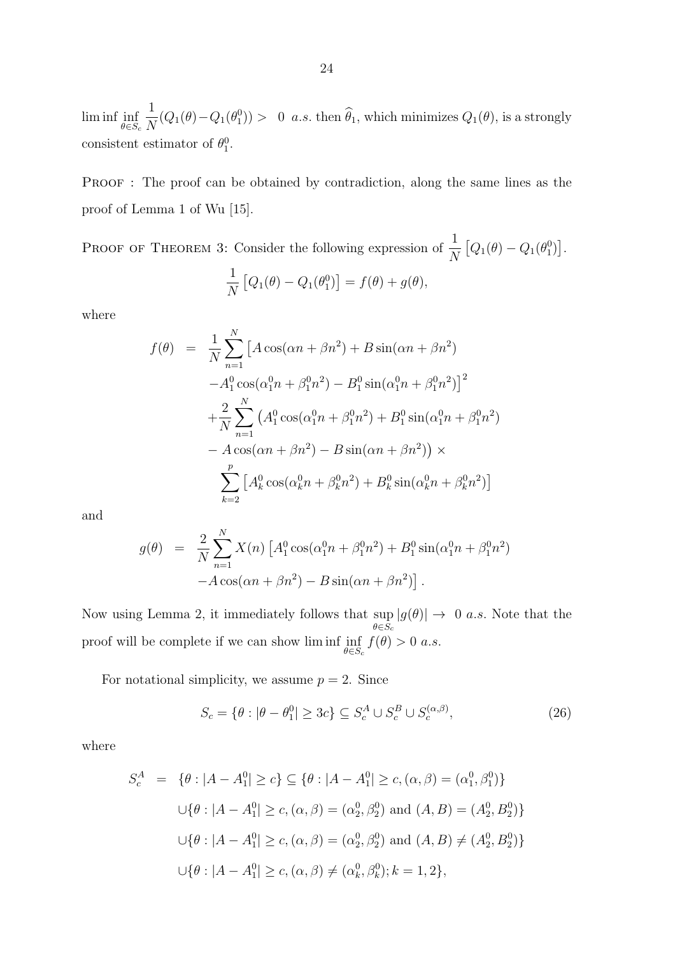lim inf inf  $\theta \in S_c$ 1  $\frac{1}{N}(Q_1(\theta)-Q_1(\theta_1^0)) > 0$  a.s. then  $\hat{\theta}_1$ , which minimizes  $Q_1(\theta)$ , is a strongly consistent estimator of  $\theta_1^0$ .

PROOF : The proof can be obtained by contradiction, along the same lines as the proof of Lemma 1 of Wu [15].

PROOF OF THEOREM 3: Consider the following expression of  $\frac{1}{N}$  $\left[Q_1(\theta) - Q_1(\theta_1^0)\right].$ 1 N  $[Q_1(\theta) - Q_1(\theta_1^0)] = f(\theta) + g(\theta),$ 

where

$$
f(\theta) = \frac{1}{N} \sum_{n=1}^{N} \left[ A \cos(\alpha n + \beta n^2) + B \sin(\alpha n + \beta n^2) -A_1^0 \cos(\alpha_1^0 n + \beta_1^0 n^2) -B_1^0 \sin(\alpha_1^0 n + \beta_1^0 n^2) \right]^2
$$
  
+ 
$$
\frac{2}{N} \sum_{n=1}^{N} \left( A_1^0 \cos(\alpha_1^0 n + \beta_1^0 n^2) + B_1^0 \sin(\alpha_1^0 n + \beta_1^0 n^2) - A \cos(\alpha n + \beta n^2) - B \sin(\alpha n + \beta n^2) \right) \times
$$
  

$$
\sum_{k=2}^{p} \left[ A_k^0 \cos(\alpha_k^0 n + \beta_k^0 n^2) + B_k^0 \sin(\alpha_k^0 n + \beta_k^0 n^2) \right]
$$

and

$$
g(\theta) = \frac{2}{N} \sum_{n=1}^{N} X(n) \left[ A_1^0 \cos(\alpha_1^0 n + \beta_1^0 n^2) + B_1^0 \sin(\alpha_1^0 n + \beta_1^0 n^2) - A \cos(\alpha n + \beta n^2) - B \sin(\alpha n + \beta n^2) \right].
$$

Now using Lemma 2, it immediately follows that  $\sup_{\theta \in \mathcal{S}} |g(\theta)| \to 0$  a.s. Note that the  $\theta \in S_c$ proof will be complete if we can show lim inf inf  $\theta \in S_c$  $f(\theta) > 0$  a.s.

For notational simplicity, we assume  $p = 2$ . Since

$$
S_c = \{ \theta : |\theta - \theta_1^0| \ge 3c \} \subseteq S_c^A \cup S_c^B \cup S_c^{(\alpha, \beta)}, \tag{26}
$$

where

$$
S_c^A = \{ \theta : |A - A_1^0| \ge c \} \subseteq \{ \theta : |A - A_1^0| \ge c, (\alpha, \beta) = (\alpha_1^0, \beta_1^0) \}
$$
  

$$
\cup \{ \theta : |A - A_1^0| \ge c, (\alpha, \beta) = (\alpha_2^0, \beta_2^0) \text{ and } (A, B) = (A_2^0, B_2^0) \}
$$
  

$$
\cup \{ \theta : |A - A_1^0| \ge c, (\alpha, \beta) = (\alpha_2^0, \beta_2^0) \text{ and } (A, B) \ne (A_2^0, B_2^0) \}
$$
  

$$
\cup \{ \theta : |A - A_1^0| \ge c, (\alpha, \beta) \ne (\alpha_k^0, \beta_k^0); k = 1, 2 \},
$$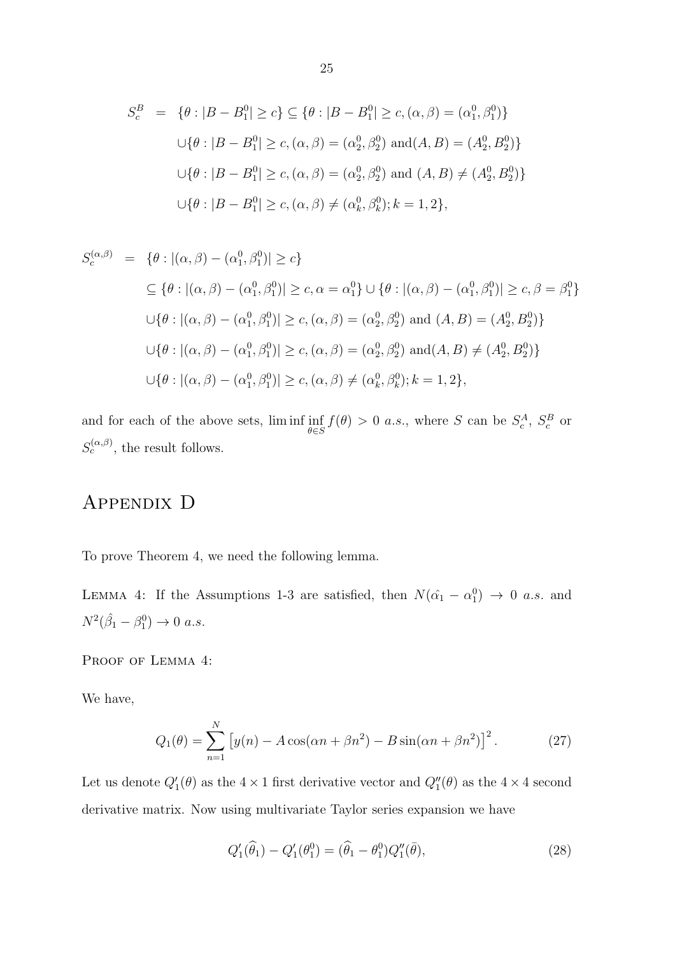$$
S_c^B = \{ \theta : |B - B_1^0| \ge c \} \subseteq \{ \theta : |B - B_1^0| \ge c, (\alpha, \beta) = (\alpha_1^0, \beta_1^0) \}
$$
  

$$
\cup \{ \theta : |B - B_1^0| \ge c, (\alpha, \beta) = (\alpha_2^0, \beta_2^0) \text{ and } (A, B) = (A_2^0, B_2^0) \}
$$
  

$$
\cup \{ \theta : |B - B_1^0| \ge c, (\alpha, \beta) = (\alpha_2^0, \beta_2^0) \text{ and } (A, B) \ne (A_2^0, B_2^0) \}
$$
  

$$
\cup \{ \theta : |B - B_1^0| \ge c, (\alpha, \beta) \ne (\alpha_k^0, \beta_k^0); k = 1, 2 \},
$$

$$
S_c^{(\alpha,\beta)} = \{ \theta : |(\alpha,\beta) - (\alpha_1^0, \beta_1^0)| \ge c \}
$$
  
\n
$$
\subseteq \{ \theta : |(\alpha,\beta) - (\alpha_1^0, \beta_1^0)| \ge c, \alpha = \alpha_1^0 \} \cup \{ \theta : |(\alpha,\beta) - (\alpha_1^0, \beta_1^0)| \ge c, \beta = \beta_1^0 \}
$$
  
\n
$$
\cup \{ \theta : |(\alpha,\beta) - (\alpha_1^0, \beta_1^0)| \ge c, (\alpha,\beta) = (\alpha_2^0, \beta_2^0) \text{ and } (A, B) = (A_2^0, B_2^0) \}
$$
  
\n
$$
\cup \{ \theta : |(\alpha,\beta) - (\alpha_1^0, \beta_1^0)| \ge c, (\alpha,\beta) = (\alpha_2^0, \beta_2^0) \text{ and } (A, B) \ne (A_2^0, B_2^0) \}
$$
  
\n
$$
\cup \{ \theta : |(\alpha,\beta) - (\alpha_1^0, \beta_1^0)| \ge c, (\alpha,\beta) \ne (\alpha_k^0, \beta_k^0); k = 1, 2 \},
$$

and for each of the above sets, lim inf inf  $\theta \in S$  $f(\theta) > 0$  a.s., where S can be  $S_c^A$ ,  $S_c^B$  or  $S_c^{(\alpha,\beta)}$ , the result follows.

## Appendix D

To prove Theorem 4, we need the following lemma.

LEMMA 4: If the Assumptions 1-3 are satisfied, then  $N(\hat{\alpha}_1 - \alpha_1^0) \rightarrow 0$  a.s. and  $N^2(\hat{\beta}_1 - \beta_1^0) \to 0 \ a.s.$ 

PROOF OF LEMMA 4:

We have,

$$
Q_1(\theta) = \sum_{n=1}^{N} \left[ y(n) - A\cos(\alpha n + \beta n^2) - B\sin(\alpha n + \beta n^2) \right]^2.
$$
 (27)

Let us denote  $Q'_1(\theta)$  as the  $4 \times 1$  first derivative vector and  $Q''_1(\theta)$  as the  $4 \times 4$  second derivative matrix. Now using multivariate Taylor series expansion we have

$$
Q_1'(\hat{\theta}_1) - Q_1'(\theta_1^0) = (\hat{\theta}_1 - \theta_1^0) Q_1''(\bar{\theta}), \qquad (28)
$$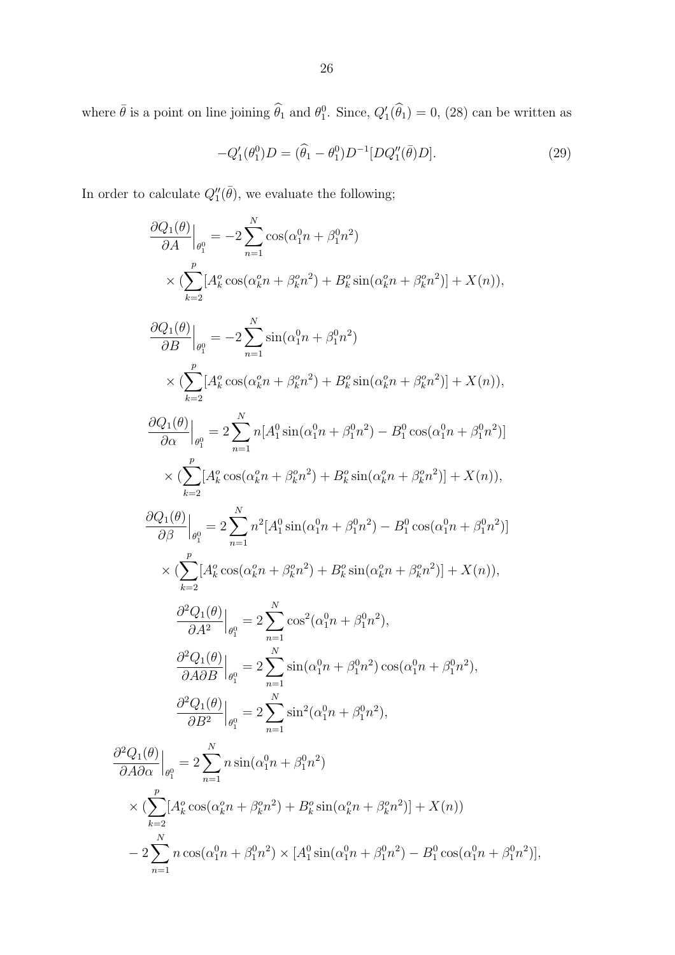where  $\bar{\theta}$  is a point on line joining  $\hat{\theta}_1$  and  $\theta_1^0$ . Since,  $Q'_1(\hat{\theta}_1) = 0$ , (28) can be written as

$$
-Q_1'(\theta_1^0)D = (\hat{\theta}_1 - \theta_1^0)D^{-1}[DQ_1''(\bar{\theta})D].
$$
\n(29)

In order to calculate  $Q_1''(\bar{\theta})$ , we evaluate the following;

 $n=1$ 

$$
\frac{\partial Q_1(\theta)}{\partial A}\Big|_{\theta_1^0} = -2\sum_{n=1}^N \cos(\alpha_1^0 n + \beta_1^0 n^2)
$$
\n
$$
\times \left( \sum_{k=2}^p [A_k^2 \cos(\alpha_k^0 n + \beta_k^0 n^2) + B_k^2 \sin(\alpha_k^0 n + \beta_k^0 n^2)] + X(n) \right),
$$
\n
$$
\frac{\partial Q_1(\theta)}{\partial B}\Big|_{\theta_1^0} = -2\sum_{n=1}^N \sin(\alpha_1^0 n + \beta_1^0 n^2)
$$
\n
$$
\times \left( \sum_{k=2}^p [A_k^2 \cos(\alpha_k^0 n + \beta_k^0 n^2) + B_k^0 \sin(\alpha_k^0 n + \beta_k^0 n^2)] + X(n) \right),
$$
\n
$$
\frac{\partial Q_1(\theta)}{\partial \alpha}\Big|_{\theta_1^0} = 2\sum_{n=1}^N n [A_1^0 \sin(\alpha_1^0 n + \beta_1^0 n^2) - B_1^0 \cos(\alpha_1^0 n + \beta_1^0 n^2)]
$$
\n
$$
\times \left( \sum_{k=2}^p [A_k^0 \cos(\alpha_k^0 n + \beta_k^0 n^2) + B_k^0 \sin(\alpha_k^0 n + \beta_k^0 n^2)] + X(n) \right),
$$
\n
$$
\frac{\partial Q_1(\theta)}{\partial \beta}\Big|_{\theta_1^0} = 2\sum_{n=1}^N n^2 [A_1^0 \sin(\alpha_1^0 n + \beta_1^0 n^2) - B_1^0 \cos(\alpha_1^0 n + \beta_1^0 n^2)]
$$
\n
$$
\times \left( \sum_{k=2}^p [A_k^0 \cos(\alpha_k^0 n + \beta_k^0 n^2) + B_k^0 \sin(\alpha_k^0 n + \beta_k^0 n^2)] + X(n) \right),
$$
\n
$$
\frac{\partial^2 Q_1(\theta)}{\partial A^2}\Big|_{\theta_1^0} = 2\sum_{n=1}^N \cos^2(\alpha_1^0 n + \beta_1^0 n^2) \cos(\alpha_1^0 n + \beta_1^0 n^2),
$$
\n
$$
\frac{\partial^2 Q_1(\theta)}{\partial A \partial \alpha}\Big|_{\theta_1^0} = 2\sum_{n
$$

 $n\cos(\alpha_1^0 n + \beta_1^0 n^2) \times [A_1^0 \sin(\alpha_1^0 n + \beta_1^0 n^2) - B_1^0 \cos(\alpha_1^0 n + \beta_1^0 n^2)],$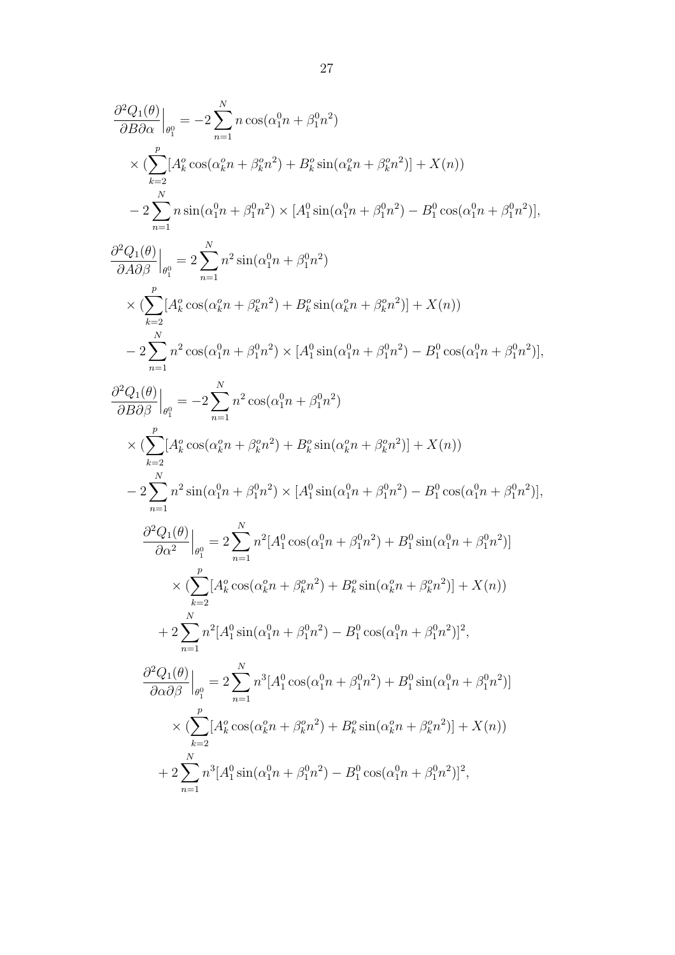$$
\begin{split} &\frac{\partial^2 Q_1(\theta)}{\partial B\partial \alpha}\Big|_{\theta_l^0} = -2\sum_{n=1}^N n\cos(\alpha_1^0 n+\beta_1^0 n^2)\\ &\quad\times (\sum_{k=2}^p [A_k^2\cos(\alpha_k^2 n+\beta_k^0 n^2)+B_k^0\sin(\alpha_k^0 n+\beta_k^0 n^2)]+X(n))\\ &\quad -2\sum_{n=1}^N n\sin(\alpha_1^0 n+\beta_1^0 n^2)\times [A_1^0\sin(\alpha_1^0 n+\beta_1^0 n^2)-B_1^0\cos(\alpha_1^0 n+\beta_1^0 n^2)],\\ &\frac{\partial^2 Q_1(\theta)}{\partial A\partial \beta}\Big|_{\theta_l^0} = 2\sum_{n=1}^N n^2\sin(\alpha_1^0 n+\beta_1^0 n^2)\\ &\quad\times (\sum_{k=2}^p [A_k^2\cos(\alpha_k^0 n+\beta_k^0 n^2)+B_k^0\sin(\alpha_k^0 n+\beta_k^0 n^2)]+X(n))\\ &\quad -2\sum_{n=1}^N n^2\cos(\alpha_1^0 n+\beta_1^0 n^2)\times [A_1^0\sin(\alpha_1^0 n+\beta_1^0 n^2)-B_1^0\cos(\alpha_1^0 n+\beta_1^0 n^2)],\\ &\frac{\partial^2 Q_1(\theta)}{\partial B\partial \beta}\Big|_{\theta_l^0} = -2\sum_{n=1}^N n^2\cos(\alpha_1^0 n+\beta_1^0 n^2)\\ &\quad\times (\sum_{k=2}^p [A_k^2\cos(\alpha_k^0 n+\beta_k^0 n^2)+B_k^0\sin(\alpha_k^0 n+\beta_k^0 n^2)]+X(n))\\ &\quad -2\sum_{n=1}^N n^2\sin(\alpha_1^0 n+\beta_1^0 n^2)\times [A_1^0\sin(\alpha_1^0 n+\beta_1^0 n^2)-B_1^0\cos(\alpha_1^0 n+\beta_1^0 n^2)],\\ &\frac{\partial^2 Q_1(\theta)}{\partial \alpha^2}\Big|_{\theta_l^0} = 2\sum_{n=1}^N n^2 [A_1^0\cos(\alpha_1^0 n+\beta_1^0 n^2)+B_k^0\sin(\alpha_k^0 n+\beta_1^0 n^2)]^2,\\ &\quad +2\sum_{n=1}^N n^2 [A_k^0
$$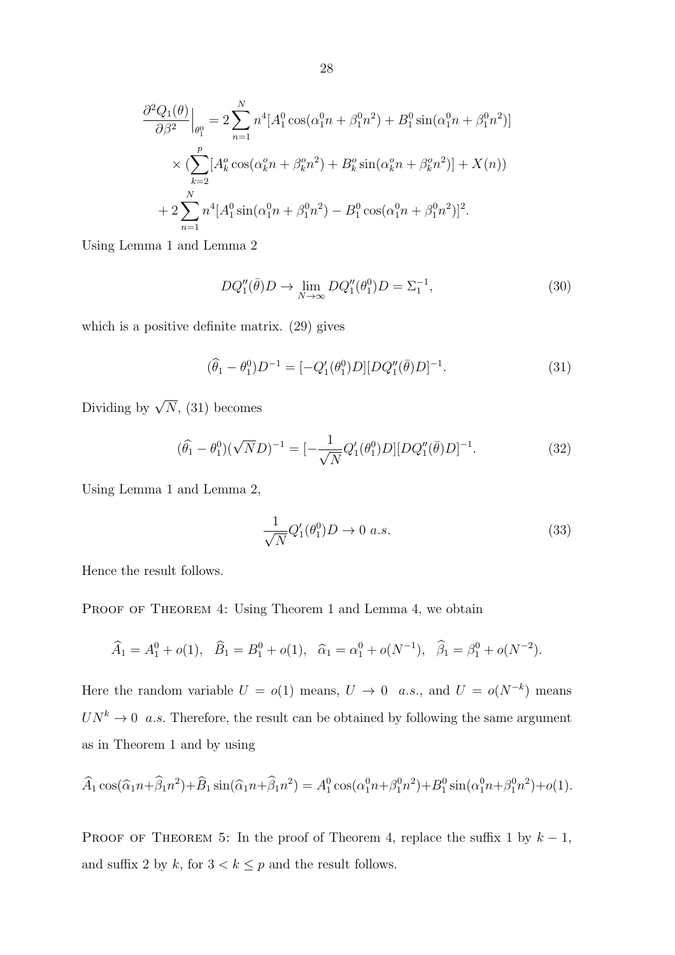$$
\frac{\partial^2 Q_1(\theta)}{\partial \beta^2}\Big|_{\theta_1^0} = 2 \sum_{n=1}^N n^4 [A_1^0 \cos(\alpha_1^0 n + \beta_1^0 n^2) + B_1^0 \sin(\alpha_1^0 n + \beta_1^0 n^2)]
$$
  

$$
\times \left( \sum_{k=2}^p [A_k^0 \cos(\alpha_k^0 n + \beta_k^0 n^2) + B_k^0 \sin(\alpha_k^0 n + \beta_k^0 n^2)] + X(n) \right)
$$
  
+ 
$$
2 \sum_{n=1}^N n^4 [A_1^0 \sin(\alpha_1^0 n + \beta_1^0 n^2) - B_1^0 \cos(\alpha_1^0 n + \beta_1^0 n^2)]^2.
$$

Using Lemma 1 and Lemma 2

$$
DQ_1''(\bar{\theta})D \to \lim_{N \to \infty} DQ_1''(\theta_1^0)D = \Sigma_1^{-1},\tag{30}
$$

which is a positive definite matrix. (29) gives

$$
(\hat{\theta}_1 - \theta_1^0)D^{-1} = [-Q_1'(\theta_1^0)D][DQ_1''(\bar{\theta})D]^{-1}.
$$
\n(31)

Dividing by  $\sqrt{N}$ , (31) becomes

$$
(\hat{\theta}_1 - \theta_1^0)(\sqrt{N}D)^{-1} = [-\frac{1}{\sqrt{N}}Q_1'(\theta_1^0)D][DQ_1''(\bar{\theta})D]^{-1}.
$$
\n(32)

Using Lemma 1 and Lemma 2,

$$
\frac{1}{\sqrt{N}}Q_1'(\theta_1^0)D \to 0 \ a.s.
$$
\n(33)

Hence the result follows.

PROOF OF THEOREM 4: Using Theorem 1 and Lemma 4, we obtain

$$
\widehat{A}_1 = A_1^0 + o(1), \quad \widehat{B}_1 = B_1^0 + o(1), \quad \widehat{\alpha}_1 = \alpha_1^0 + o(N^{-1}), \quad \widehat{\beta}_1 = \beta_1^0 + o(N^{-2}).
$$

Here the random variable  $U = o(1)$  means,  $U \to 0$  a.s., and  $U = o(N^{-k})$  means  $UN^k \to 0$  a.s. Therefore, the result can be obtained by following the same argument as in Theorem 1 and by using

$$
\widehat{A}_1 \cos(\widehat{\alpha}_1 n + \widehat{\beta}_1 n^2) + \widehat{B}_1 \sin(\widehat{\alpha}_1 n + \widehat{\beta}_1 n^2) = A_1^0 \cos(\alpha_1^0 n + \beta_1^0 n^2) + B_1^0 \sin(\alpha_1^0 n + \beta_1^0 n^2) + o(1).
$$

PROOF OF THEOREM 5: In the proof of Theorem 4, replace the suffix 1 by  $k - 1$ , and suffix 2 by k, for  $3 < k \leq p$  and the result follows.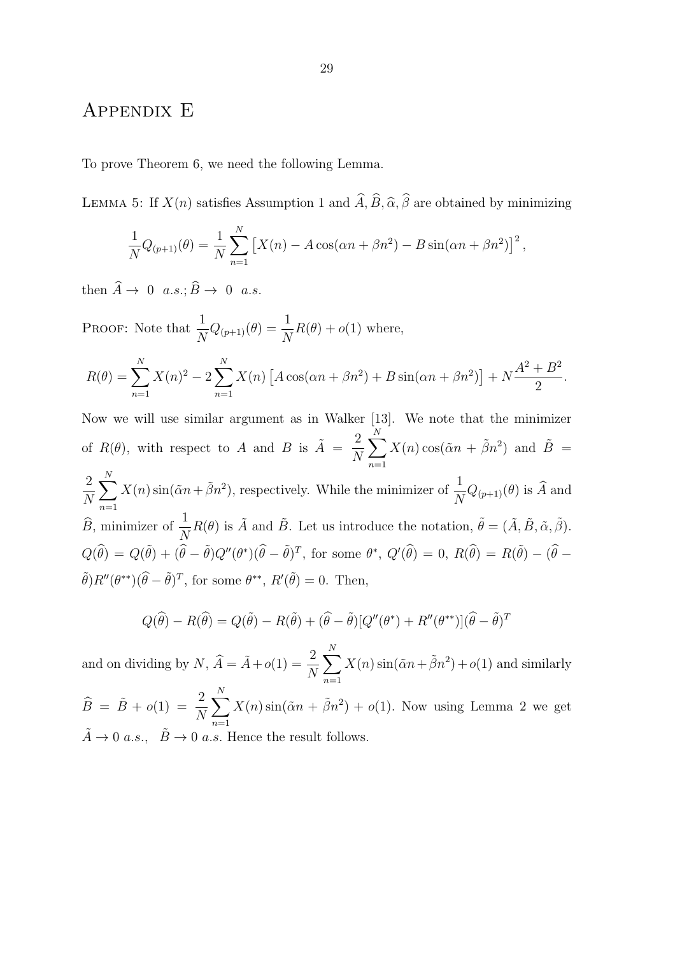### Appendix E

To prove Theorem 6, we need the following Lemma.

LEMMA 5: If  $X(n)$  satisfies Assumption 1 and  $\widehat{A}$ ,  $\widehat{B}$ ,  $\widehat{\alpha}$ ,  $\widehat{\beta}$  are obtained by minimizing

$$
\frac{1}{N}Q_{(p+1)}(\theta) = \frac{1}{N} \sum_{n=1}^{N} \left[ X(n) - A \cos(\alpha n + \beta n^2) - B \sin(\alpha n + \beta n^2) \right]^2,
$$

then  $\widehat{A} \to 0$  a.s.;  $\widehat{B} \to 0$  a.s.

PROOF: Note that  $\frac{1}{N}Q_{(p+1)}(\theta) = \frac{1}{N}R(\theta) + o(1)$  where,

$$
R(\theta) = \sum_{n=1}^{N} X(n)^{2} - 2 \sum_{n=1}^{N} X(n) \left[ A \cos(\alpha n + \beta n^{2}) + B \sin(\alpha n + \beta n^{2}) \right] + N \frac{A^{2} + B^{2}}{2}.
$$

Now we will use similar argument as in Walker [13]. We note that the minimizer of  $R(\theta)$ , with respect to A and B is  $\tilde{A} = \frac{2}{N}$ N  $\sum^N$  $n=1$  $X(n) \cos(\tilde{\alpha}n + \tilde{\beta}n^2)$  and  $\tilde{B} =$ 2 N  $\sum_{i=1}^{N}$  $n=1$  $X(n) \sin(\tilde{\alpha}n + \tilde{\beta}n^2)$ , respectively. While the minimizer of  $\frac{1}{N}Q_{(p+1)}(\theta)$  is  $\hat{A}$  and  $\widehat{B}$ , minimizer of  $\frac{1}{N}R(\theta)$  is  $\widetilde{A}$  and  $\widetilde{B}$ . Let us introduce the notation,  $\widetilde{\theta} = (\widetilde{A}, \widetilde{B}, \widetilde{\alpha}, \widetilde{\beta})$ .  $Q(\widehat{\theta}) = Q(\widetilde{\theta}) + (\widehat{\theta} - \widetilde{\theta})Q''(\theta^*)(\widehat{\theta} - \widetilde{\theta})^T$ , for some  $\theta^*$ ,  $Q'(\widehat{\theta}) = 0$ ,  $R(\widehat{\theta}) = R(\widetilde{\theta}) - (\widehat{\theta} - \theta)^T$  $\tilde{\theta}$ ) $R''(\theta^{**})(\hat{\theta}-\tilde{\theta})^T$ , for some  $\theta^{**}$ ,  $R'(\tilde{\theta})=0$ . Then,

$$
Q(\widehat{\theta}) - R(\widehat{\theta}) = Q(\widetilde{\theta}) - R(\widetilde{\theta}) + (\widehat{\theta} - \widetilde{\theta})[Q''(\theta^*) + R''(\theta^{**})](\widehat{\theta} - \widetilde{\theta})^T
$$

and on dividing by  $N$ ,  $\widehat{A} = \widetilde{A} + o(1) = \frac{2}{N}$  $\sum^N$  $n=1$  $X(n) \sin(\tilde{\alpha}n + \tilde{\beta}n^2) + o(1)$  and similarly

 $\widehat{B} = \widetilde{B} + o(1) = \frac{2}{N}$  $\sum_{i=1}^{N}$  $n=1$  $X(n) \sin(\tilde{\alpha}n + \tilde{\beta}n^2) + o(1)$ . Now using Lemma 2 we get  $\tilde{A} \rightarrow 0$  a.s.,  $\tilde{B} \rightarrow 0$  a.s. Hence the result follows.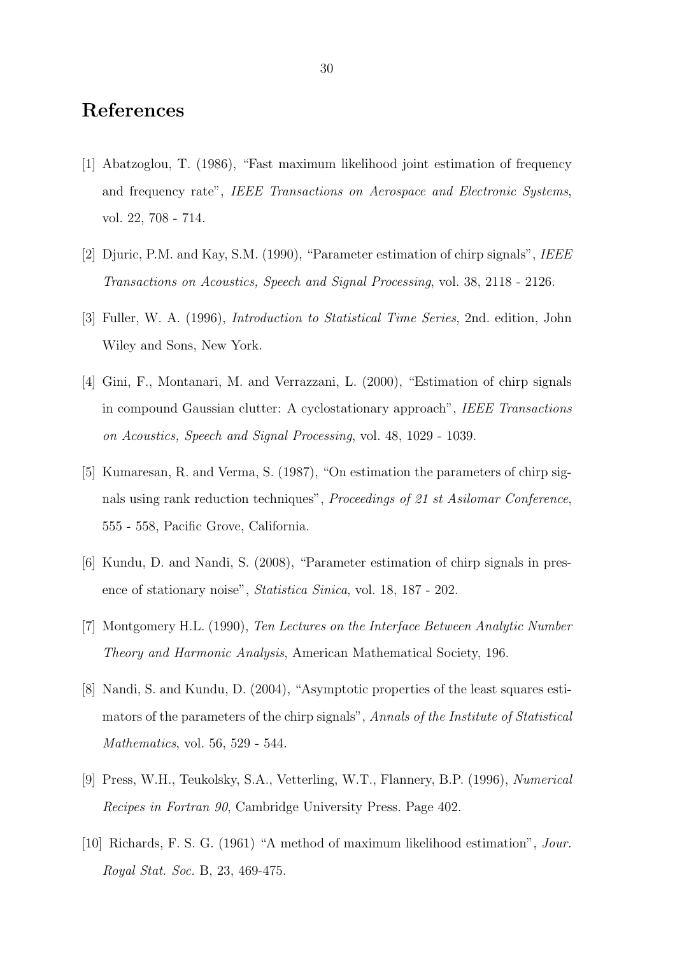## References

- [1] Abatzoglou, T. (1986), "Fast maximum likelihood joint estimation of frequency and frequency rate", IEEE Transactions on Aerospace and Electronic Systems, vol. 22, 708 - 714.
- [2] Djuric, P.M. and Kay, S.M. (1990), "Parameter estimation of chirp signals", IEEE Transactions on Acoustics, Speech and Signal Processing, vol. 38, 2118 - 2126.
- [3] Fuller, W. A. (1996), Introduction to Statistical Time Series, 2nd. edition, John Wiley and Sons, New York.
- [4] Gini, F., Montanari, M. and Verrazzani, L. (2000), "Estimation of chirp signals in compound Gaussian clutter: A cyclostationary approach", IEEE Transactions on Acoustics, Speech and Signal Processing, vol. 48, 1029 - 1039.
- [5] Kumaresan, R. and Verma, S. (1987), "On estimation the parameters of chirp signals using rank reduction techniques", Proceedings of 21 st Asilomar Conference, 555 - 558, Pacific Grove, California.
- [6] Kundu, D. and Nandi, S. (2008), "Parameter estimation of chirp signals in presence of stationary noise", Statistica Sinica, vol. 18, 187 - 202.
- [7] Montgomery H.L. (1990), Ten Lectures on the Interface Between Analytic Number Theory and Harmonic Analysis, American Mathematical Society, 196.
- [8] Nandi, S. and Kundu, D. (2004), "Asymptotic properties of the least squares estimators of the parameters of the chirp signals", Annals of the Institute of Statistical Mathematics, vol. 56, 529 - 544.
- [9] Press, W.H., Teukolsky, S.A., Vetterling, W.T., Flannery, B.P. (1996), Numerical Recipes in Fortran 90, Cambridge University Press. Page 402.
- [10] Richards, F. S. G. (1961) "A method of maximum likelihood estimation", Jour. Royal Stat. Soc. B, 23, 469-475.